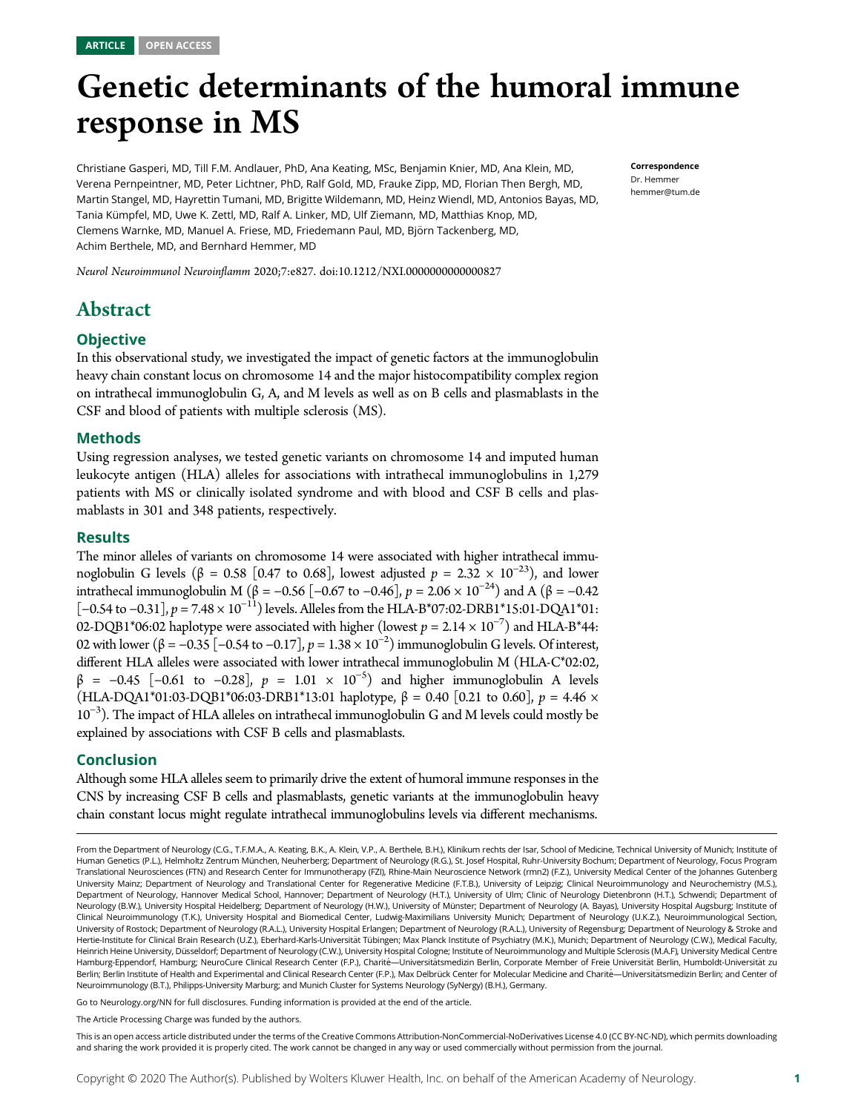# Genetic determinants of the humoral immune response in MS

Christiane Gasperi, MD, Till F.M. Andlauer, PhD, Ana Keating, MSc, Benjamin Knier, MD, Ana Klein, MD, Verena Pernpeintner, MD, Peter Lichtner, PhD, Ralf Gold, MD, Frauke Zipp, MD, Florian Then Bergh, MD, Martin Stangel, MD, Hayrettin Tumani, MD, Brigitte Wildemann, MD, Heinz Wiendl, MD, Antonios Bayas, MD, Tania Kümpfel, MD, Uwe K. Zettl, MD, Ralf A. Linker, MD, Ulf Ziemann, MD, Matthias Knop, MD, Clemens Warnke, MD, Manuel A. Friese, MD, Friedemann Paul, MD, Bjorn Tackenberg, MD, ¨ Achim Berthele, MD, and Bernhard Hemmer, MD

Neurol Neuroimmunol Neuroinflamm 2020;7:e827. doi[:10.1212/NXI.0000000000000827](http://dx.doi.org/10.1212/NXI.0000000000000827)

# Abstract

#### **Objective**

In this observational study, we investigated the impact of genetic factors at the immunoglobulin heavy chain constant locus on chromosome 14 and the major histocompatibility complex region on intrathecal immunoglobulin G, A, and M levels as well as on B cells and plasmablasts in the CSF and blood of patients with multiple sclerosis (MS).

#### Methods

Using regression analyses, we tested genetic variants on chromosome 14 and imputed human leukocyte antigen (HLA) alleles for associations with intrathecal immunoglobulins in 1,279 patients with MS or clinically isolated syndrome and with blood and CSF B cells and plasmablasts in 301 and 348 patients, respectively.

#### Results

The minor alleles of variants on chromosome 14 were associated with higher intrathecal immunoglobulin G levels (β = 0.58 [0.47 to 0.68], lowest adjusted  $p = 2.32 \times 10^{-23}$ ), and lower intrathecal immunoglobulin M (β = -0.56 [-0.67 to -0.46],  $p = 2.06 \times 10^{-24}$ ) and A (β = -0.42  $[-0.54 \text{ to } -0.31]$ ,  $p = 7.48 \times 10^{-11}$ ) levels. Alleles from the HLA-B\*07:02-DRB1\*15:01-DQA1\*01: 02-DQB1\*06:02 haplotype were associated with higher (lowest  $p = 2.14 \times 10^{-7}$ ) and HLA-B\*44:<br>02 with lower ( $\beta = -0.35$  [−0.54 to −0.17]  $n = 1.38 \times 10^{-2}$ ) immunoglobulin G levels. Of interest 02 with lower (β = -0.35 [-0.54 to -0.17],  $p = 1.38 \times 10^{-2}$ ) immunoglobulin G levels. Of interest, different HI A alleles were associated with lower intrathecal immunoglobulin M (HI A C\*02.02) different HLA alleles were associated with lower intrathecal immunoglobulin M (HLA-C\*02:02,  $β = -0.45 [-0.61 \text{ to } -0.28], p = 1.01 \times 10^{-5}$  and higher immunoglobulin A levels (HIA-DOA1\*01.03-DOB1\*06-03-DRB1\*13-01 bankgroups  $β = 0.40 [0.21 \text{ to } 0.60]$   $p = 4.46 \times$ (HLA-DQA1\*01:03-DQB1\*06:03-DRB1\*13:01 haplotype,  $\beta$  = 0.40 [0.21 to 0.60],  $p$  = 4.46  $\times$ 10<sup>-3</sup>). The impact of HLA alleles on intrathecal immunoglobulin G and M levels could mostly be explained by associations with CSF B cells and plasmablasts.

#### Conclusion

Although some HLA alleles seem to primarily drive the extent of humoral immune responses in the CNS by increasing CSF B cells and plasmablasts, genetic variants at the immunoglobulin heavy chain constant locus might regulate intrathecal immunoglobulins levels via different mechanisms.

From the Department of Neurology (C.G., T.F.M.A., A. Keating, B.K., A. Klein, V.P., A. Berthele, B.H.), Klinikum rechts der Isar, School of Medicine, Technical University of Munich; Institute of Human Genetics (P.L.), Helmholtz Zentrum München, Neuherberg; Department of Neurology (R.G.), St. Josef Hospital, Ruhr-University Bochum; Department of Neurology, Focus Program Translational Neurosciences (FTN) and Research Center for Immunotherapy (FZI), Rhine-Main Neuroscience Network (rmn2) (F.Z.), University Medical Center of the Johannes Gutenberg University Mainz; Department of Neurology and Translational Center for Regenerative Medicine (F.T.B.), University of Leipzig; Clinical Neuroimmunology and Neurochemistry (M.S.), Department of Neurology, Hannover Medical School, Hannover; Department of Neurology (H.T.), University of Ulm; Clinic of Neurology Dietenbronn (H.T.), Schwendi; Department of Neurology (B.W.), University Hospital Heidelberg; Department of Neurology (H.W.), University of Münster; Department of Neurology (A. Bayas), University Hospital Augsburg; Institute of Clinical Neuroimmunology (T.K.), University Hospital and Biomedical Center, Ludwig-Maximilians University Munich; Department of Neurology (U.K.Z.), Neuroimmunological Section, University of Rostock; Department of Neurology (R.A.L.), University Hospital Erlangen; Department of Neurology (R.A.L.), University of Regensburg; Department of Neurology & Stroke and Hertie-Institute for Clinical Brain Research (U.Z.), Eberhard-Karls-Universität Tübingen; Max Planck Institute of Psychiatry (M.K.), Munich; Department of Neurology (C.W.), Medical Faculty, Heinrich Heine University, Düsseldorf; Department of Neurology (C.W.), University Hospital Cologne; Institute of Neuroimmunology and Multiple Sclerosis (M.A.F), University Medical Centre Hamburg-Eppendorf, Hamburg; NeuroCure Clinical Research Center (F.P.), Charité—Universitätsmedizin Berlin, Corporate Member of Freie Universität Berlin, Humboldt-Universität zu Berlin; Berlin Institute of Health and Experimental and Clinical Research Center (F.P.), Max Delbrück Center for Molecular Medicine and Charité-Universitätsmedizin Berlin; and Center of Neuroimmunology (B.T.), Philipps-University Marburg; and Munich Cluster for Systems Neurology (SyNergy) (B.H.), Germany.

Go to [Neurology.org/NN](https://nn.neurology.org/content/7/5/e827/tab-article-info) for full disclosures. Funding information is provided at the end of the article.

The Article Processing Charge was funded by the authors.

This is an open access article distributed under the terms of the [Creative Commons Attribution-NonCommercial-NoDerivatives License 4.0 \(CC BY-NC-ND\),](http://creativecommons.org/licenses/by-nc-nd/4.0/) which permits downloading and sharing the work provided it is properly cited. The work cannot be changed in any way or used commercially without permission from the journal.

Correspondence Dr. Hemmer [hemmer@tum.de](mailto:hemmer@tum.de)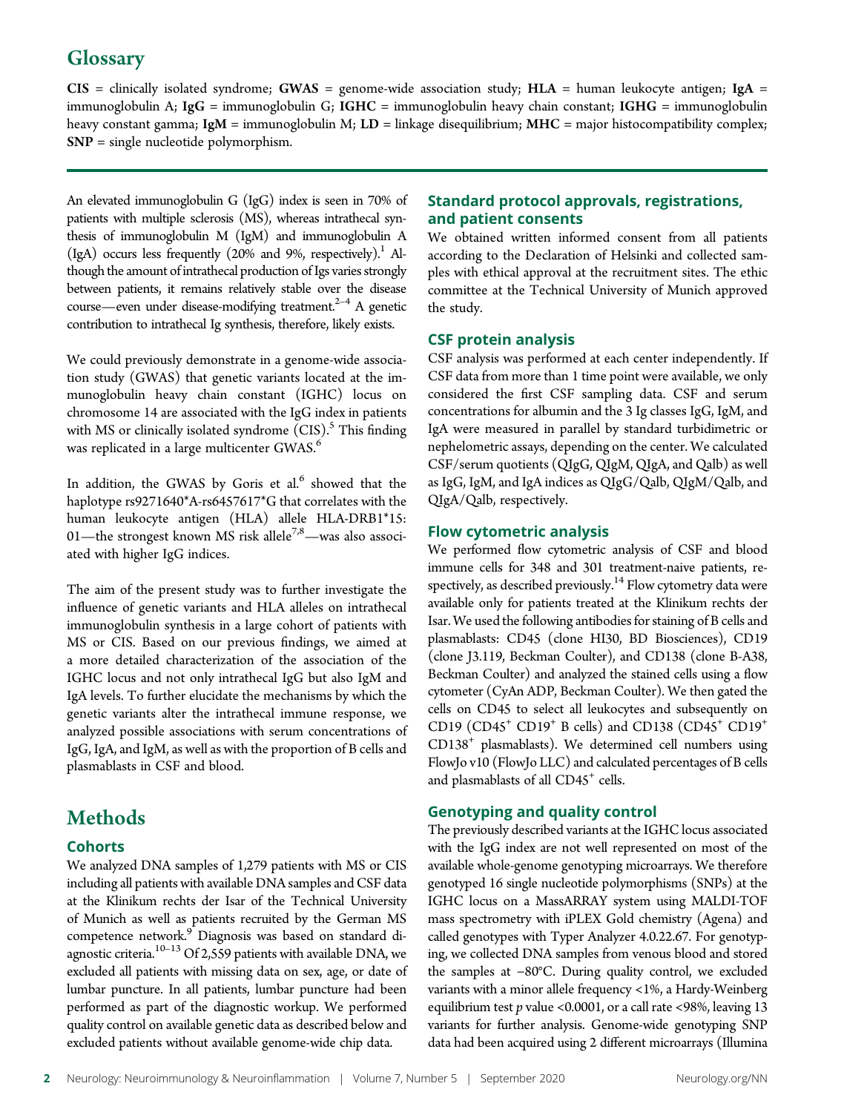# **Glossary**

 $CIS$  = clinically isolated syndrome; GWAS = genome-wide association study; HLA = human leukocyte antigen; IgA = immunoglobulin A; IgG = immunoglobulin G; IGHC = immunoglobulin heavy chain constant; IGHG = immunoglobulin heavy constant gamma; IgM = immunoglobulin M; LD = linkage disequilibrium; MHC = major histocompatibility complex; SNP = single nucleotide polymorphism.

An elevated immunoglobulin G (IgG) index is seen in 70% of patients with multiple sclerosis (MS), whereas intrathecal synthesis of immunoglobulin M (IgM) and immunoglobulin A  $(IgA)$  occurs less frequently (20% and 9%, respectively).<sup>1</sup> Although the amount of intrathecal production of Igs varies strongly between patients, it remains relatively stable over the disease course—even under disease-modifying treatment. $2-4$  A genetic contribution to intrathecal Ig synthesis, therefore, likely exists.

We could previously demonstrate in a genome-wide association study (GWAS) that genetic variants located at the immunoglobulin heavy chain constant (IGHC) locus on chromosome 14 are associated with the IgG index in patients with MS or clinically isolated syndrome  $(CIS)$ .<sup>5</sup> This finding was replicated in a large multicenter GWAS.<sup>6</sup>

In addition, the GWAS by Goris et al.<sup>6</sup> showed that the haplotype rs9271640\*A-rs6457617\*G that correlates with the human leukocyte antigen (HLA) allele HLA-DRB1\*15: 01—the strongest known MS risk allele<sup>7,8</sup>—was also associated with higher IgG indices.

The aim of the present study was to further investigate the influence of genetic variants and HLA alleles on intrathecal immunoglobulin synthesis in a large cohort of patients with MS or CIS. Based on our previous findings, we aimed at a more detailed characterization of the association of the IGHC locus and not only intrathecal IgG but also IgM and IgA levels. To further elucidate the mechanisms by which the genetic variants alter the intrathecal immune response, we analyzed possible associations with serum concentrations of IgG, IgA, and IgM, as well as with the proportion of B cells and plasmablasts in CSF and blood.

# **Methods**

#### **Cohorts**

We analyzed DNA samples of 1,279 patients with MS or CIS including all patients with available DNA samples and CSF data at the Klinikum rechts der Isar of the Technical University of Munich as well as patients recruited by the German MS competence network.<sup>9</sup> Diagnosis was based on standard diagnostic criteria. $10^{-13}$  Of 2,559 patients with available DNA, we excluded all patients with missing data on sex, age, or date of lumbar puncture. In all patients, lumbar puncture had been performed as part of the diagnostic workup. We performed quality control on available genetic data as described below and excluded patients without available genome-wide chip data.

#### Standard protocol approvals, registrations, and patient consents

We obtained written informed consent from all patients according to the Declaration of Helsinki and collected samples with ethical approval at the recruitment sites. The ethic committee at the Technical University of Munich approved the study.

#### CSF protein analysis

CSF analysis was performed at each center independently. If CSF data from more than 1 time point were available, we only considered the first CSF sampling data. CSF and serum concentrations for albumin and the 3 Ig classes IgG, IgM, and IgA were measured in parallel by standard turbidimetric or nephelometric assays, depending on the center. We calculated CSF/serum quotients (QIgG, QIgM, QIgA, and Qalb) as well as IgG, IgM, and IgA indices as QIgG/Qalb, QIgM/Qalb, and QIgA/Qalb, respectively.

#### Flow cytometric analysis

We performed flow cytometric analysis of CSF and blood immune cells for 348 and 301 treatment-naive patients, respectively, as described previously.<sup>14</sup> Flow cytometry data were available only for patients treated at the Klinikum rechts der Isar. We used the following antibodies for staining of B cells and plasmablasts: CD45 (clone HI30, BD Biosciences), CD19 (clone J3.119, Beckman Coulter), and CD138 (clone B-A38, Beckman Coulter) and analyzed the stained cells using a flow cytometer (CyAn ADP, Beckman Coulter). We then gated the cells on CD45 to select all leukocytes and subsequently on CD19 (CD45<sup>+</sup> CD19<sup>+</sup> B cells) and CD138 (CD45<sup>+</sup> CD19<sup>+</sup>  $CD138<sup>+</sup>$  plasmablasts). We determined cell numbers using FlowJo v10 (FlowJo LLC) and calculated percentages of B cells and plasmablasts of all CD45<sup>+</sup> cells.

#### Genotyping and quality control

The previously described variants at the IGHC locus associated with the IgG index are not well represented on most of the available whole-genome genotyping microarrays. We therefore genotyped 16 single nucleotide polymorphisms (SNPs) at the IGHC locus on a MassARRAY system using MALDI-TOF mass spectrometry with iPLEX Gold chemistry (Agena) and called genotypes with Typer Analyzer 4.0.22.67. For genotyping, we collected DNA samples from venous blood and stored the samples at −80°C. During quality control, we excluded variants with a minor allele frequency <1%, a Hardy-Weinberg equilibrium test  $p$  value <0.0001, or a call rate <98%, leaving 13 variants for further analysis. Genome-wide genotyping SNP data had been acquired using 2 different microarrays (Illumina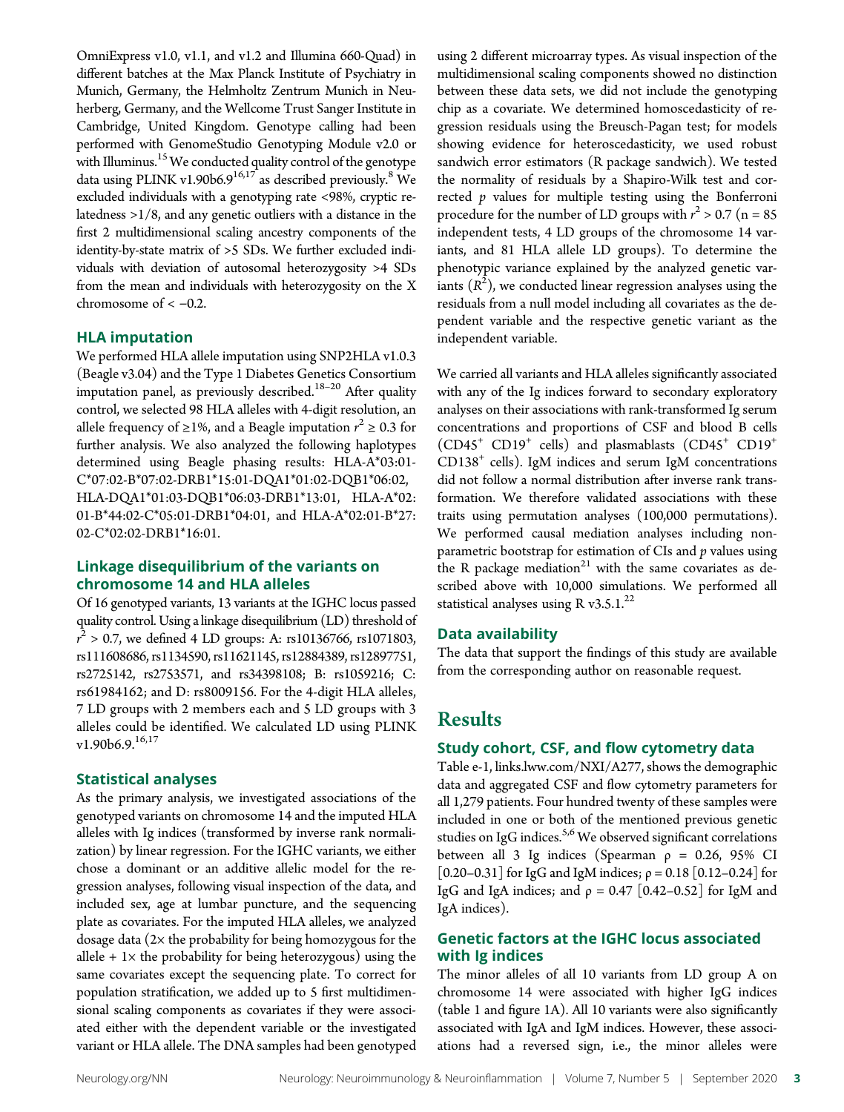OmniExpress v1.0, v1.1, and v1.2 and Illumina 660-Quad) in different batches at the Max Planck Institute of Psychiatry in Munich, Germany, the Helmholtz Zentrum Munich in Neuherberg, Germany, and the Wellcome Trust Sanger Institute in Cambridge, United Kingdom. Genotype calling had been performed with GenomeStudio Genotyping Module v2.0 or with Illuminus.<sup>15</sup> We conducted quality control of the genotype data using PLINK v1.90b6.9<sup>16,17</sup> as described previously.<sup>8</sup> We excluded individuals with a genotyping rate <98%, cryptic relatedness >1/8, and any genetic outliers with a distance in the first 2 multidimensional scaling ancestry components of the identity-by-state matrix of >5 SDs. We further excluded individuals with deviation of autosomal heterozygosity >4 SDs from the mean and individuals with heterozygosity on the X chromosome of  $<-0.2$ .

#### HLA imputation

We performed HLA allele imputation using SNP2HLA v1.0.3 (Beagle v3.04) and the Type 1 Diabetes Genetics Consortium imputation panel, as previously described.<sup>18–20</sup> After quality control, we selected 98 HLA alleles with 4-digit resolution, an allele frequency of ≥1%, and a Beagle imputation  $r^2 \ge 0.3$  for further analysis. We also analyzed the following haplotypes further analysis. We also analyzed the following haplotypes determined using Beagle phasing results: HLA-A\*03:01- C\*07:02-B\*07:02-DRB1\*15:01-DQA1\*01:02-DQB1\*06:02, HLA-DQA1\*01:03-DQB1\*06:03-DRB1\*13:01, HLA-A\*02: 01-B\*44:02-C\*05:01-DRB1\*04:01, and HLA-A\*02:01-B\*27: 02-C\*02:02-DRB1\*16:01.

#### Linkage disequilibrium of the variants on chromosome 14 and HLA alleles

Of 16 genotyped variants, 13 variants at the IGHC locus passed quality control. Using a linkage disequilibrium (LD) threshold of r rs111608686, rs1134590, rs11621145, rs12884389, rs12897751,  $r^2 > 0.7$ , we defined 4 LD groups: A: rs10136766, rs1071803, rs2725142, rs2753571, and rs34398108; B: rs1059216; C: rs61984162; and D: rs8009156. For the 4-digit HLA alleles, 7 LD groups with 2 members each and 5 LD groups with 3 alleles could be identified. We calculated LD using PLINK  $v1.90b6.9.<sup>16,17</sup>$ 

#### Statistical analyses

As the primary analysis, we investigated associations of the genotyped variants on chromosome 14 and the imputed HLA alleles with Ig indices (transformed by inverse rank normalization) by linear regression. For the IGHC variants, we either chose a dominant or an additive allelic model for the regression analyses, following visual inspection of the data, and included sex, age at lumbar puncture, and the sequencing plate as covariates. For the imputed HLA alleles, we analyzed dosage data (2× the probability for being homozygous for the allele  $+ 1 \times$  the probability for being heterozygous) using the same covariates except the sequencing plate. To correct for population stratification, we added up to 5 first multidimensional scaling components as covariates if they were associated either with the dependent variable or the investigated variant or HLA allele. The DNA samples had been genotyped

using 2 different microarray types. As visual inspection of the multidimensional scaling components showed no distinction between these data sets, we did not include the genotyping chip as a covariate. We determined homoscedasticity of regression residuals using the Breusch-Pagan test; for models showing evidence for heteroscedasticity, we used robust sandwich error estimators (R package sandwich). We tested the normality of residuals by a Shapiro-Wilk test and corrected  $p$  values for multiple testing using the Bonferroni procedure for the number of LD groups with  $r^2 > 0.7$  (n = 85<br>independent tests 4 ID groups of the chromosome 14 years independent tests, 4 LD groups of the chromosome 14 variants, and 81 HLA allele LD groups). To determine the phenotypic variance explained by the analyzed genetic variants  $(R^2)$ , we conducted linear regression analyses using the residuals from a null model including all covariates as the deresiduals from a null model including all covariates as the dependent variable and the respective genetic variant as the independent variable.

We carried all variants and HLA alleles significantly associated with any of the Ig indices forward to secondary exploratory analyses on their associations with rank-transformed Ig serum concentrations and proportions of CSF and blood B cells  $(CD45<sup>+</sup> CD19<sup>+</sup>$  cells) and plasmablasts  $(CD45<sup>+</sup> CD19<sup>+</sup>$  $CD138<sup>+</sup>$  cells). IgM indices and serum IgM concentrations did not follow a normal distribution after inverse rank transformation. We therefore validated associations with these traits using permutation analyses (100,000 permutations). We performed causal mediation analyses including nonparametric bootstrap for estimation of  $CIs$  and  $p$  values using the R package mediation<sup>21</sup> with the same covariates as described above with 10,000 simulations. We performed all statistical analyses using R v3.5.1. $^{22}$ 

#### Data availability

The data that support the findings of this study are available from the corresponding author on reasonable request.

# Results

#### Study cohort, CSF, and flow cytometry data

Table e-1, [links.lww.com/NXI/A277](http://links.lww.com/NXI/A277), shows the demographic data and aggregated CSF and flow cytometry parameters for all 1,279 patients. Four hundred twenty of these samples were included in one or both of the mentioned previous genetic studies on IgG indices.<sup>5,6</sup> We observed significant correlations between all 3 Ig indices (Spearman  $\rho = 0.26$ , 95% CI [0.20–0.31] for IgG and IgM indices; ρ = 0.18 [0.12–0.24] for IgG and IgA indices; and  $\rho = 0.47$  [0.42–0.52] for IgM and IgA indices).

#### Genetic factors at the IGHC locus associated with Ig indices

The minor alleles of all 10 variants from LD group A on chromosome 14 were associated with higher IgG indices (table 1 and figure 1A). All 10 variants were also significantly associated with IgA and IgM indices. However, these associations had a reversed sign, i.e., the minor alleles were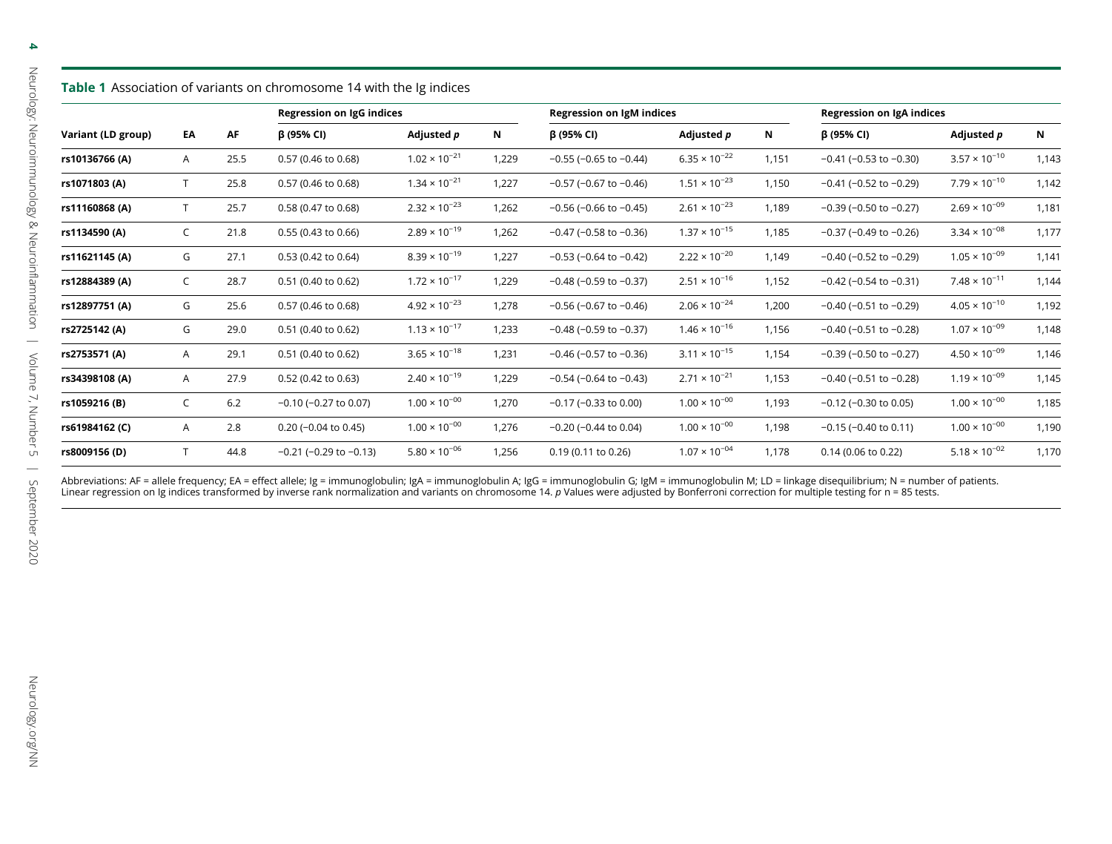4

| <b>Table 1</b> Association of variants on chromosome 14 with the Ig indices |              |      |                                |                        |                           |                                |                        |                                  |                                |                        |       |
|-----------------------------------------------------------------------------|--------------|------|--------------------------------|------------------------|---------------------------|--------------------------------|------------------------|----------------------------------|--------------------------------|------------------------|-------|
| Variant (LD group)                                                          | EA           | AF   | Regression on IgG indices      |                        | Regression on IgM indices |                                |                        | <b>Regression on IgA indices</b> |                                |                        |       |
|                                                                             |              |      | β (95% CI)                     | Adjusted p             | Ν                         | β (95% CI)                     | Adjusted p             | N                                | β (95% CI)                     | Adjusted <i>p</i>      | N     |
| rs10136766 (A)                                                              | A            | 25.5 | 0.57 (0.46 to 0.68)            | $1.02 \times 10^{-21}$ | 1,229                     | $-0.55$ ( $-0.65$ to $-0.44$ ) | $6.35 \times 10^{-22}$ | 1,151                            | $-0.41$ ( $-0.53$ to $-0.30$ ) | $3.57 \times 10^{-10}$ | 1,143 |
| rs1071803 (A)                                                               |              | 25.8 | 0.57 (0.46 to 0.68)            | $1.34 \times 10^{-21}$ | 1,227                     | $-0.57$ ( $-0.67$ to $-0.46$ ) | $1.51 \times 10^{-23}$ | 1,150                            | $-0.41$ ( $-0.52$ to $-0.29$ ) | $7.79 \times 10^{-10}$ | 1,142 |
| rs11160868 (A)                                                              | $\mathsf{T}$ | 25.7 | 0.58 (0.47 to 0.68)            | $2.32 \times 10^{-23}$ | 1,262                     | $-0.56$ ( $-0.66$ to $-0.45$ ) | $2.61 \times 10^{-23}$ | 1,189                            | $-0.39$ ( $-0.50$ to $-0.27$ ) | $2.69 \times 10^{-09}$ | 1,181 |
| rs1134590 (A)                                                               | C            | 21.8 | 0.55 (0.43 to 0.66)            | $2.89 \times 10^{-19}$ | 1,262                     | $-0.47$ ( $-0.58$ to $-0.36$ ) | $1.37 \times 10^{-15}$ | 1,185                            | $-0.37$ ( $-0.49$ to $-0.26$ ) | $3.34 \times 10^{-08}$ | 1,177 |
| rs11621145 (A)                                                              | G            | 27.1 | 0.53 (0.42 to 0.64)            | $8.39 \times 10^{-19}$ | 1,227                     | $-0.53$ ( $-0.64$ to $-0.42$ ) | $2.22 \times 10^{-20}$ | 1,149                            | $-0.40$ ( $-0.52$ to $-0.29$ ) | $1.05 \times 10^{-09}$ | 1,141 |
| rs12884389 (A)                                                              | C            | 28.7 | 0.51 (0.40 to 0.62)            | $1.72 \times 10^{-17}$ | 1,229                     | $-0.48$ ( $-0.59$ to $-0.37$ ) | $2.51 \times 10^{-16}$ | 1,152                            | $-0.42$ ( $-0.54$ to $-0.31$ ) | $7.48 \times 10^{-11}$ | 1,144 |
| rs12897751 (A)                                                              | G            | 25.6 | 0.57 (0.46 to 0.68)            | $4.92 \times 10^{-23}$ | 1,278                     | $-0.56$ ( $-0.67$ to $-0.46$ ) | $2.06 \times 10^{-24}$ | 1,200                            | $-0.40$ ( $-0.51$ to $-0.29$ ) | $4.05 \times 10^{-10}$ | 1,192 |
| rs2725142 (A)                                                               | G            | 29.0 | 0.51 (0.40 to 0.62)            | $1.13 \times 10^{-17}$ | 1,233                     | $-0.48$ ( $-0.59$ to $-0.37$ ) | $1.46 \times 10^{-16}$ | 1,156                            | $-0.40$ ( $-0.51$ to $-0.28$ ) | $1.07 \times 10^{-09}$ | 1,148 |
| rs2753571 (A)                                                               | A            | 29.1 | 0.51 (0.40 to 0.62)            | $3.65 \times 10^{-18}$ | 1,231                     | $-0.46$ ( $-0.57$ to $-0.36$ ) | $3.11 \times 10^{-15}$ | 1,154                            | $-0.39$ ( $-0.50$ to $-0.27$ ) | $4.50 \times 10^{-09}$ | 1,146 |
| rs34398108 (A)                                                              | A            | 27.9 | 0.52 (0.42 to 0.63)            | $2.40 \times 10^{-19}$ | 1,229                     | $-0.54$ ( $-0.64$ to $-0.43$ ) | $2.71 \times 10^{-21}$ | 1,153                            | $-0.40$ ( $-0.51$ to $-0.28$ ) | $1.19 \times 10^{-09}$ | 1,145 |
| rs1059216 (B)                                                               | C            | 6.2  | $-0.10$ ( $-0.27$ to 0.07)     | $1.00 \times 10^{-00}$ | 1,270                     | $-0.17$ ( $-0.33$ to 0.00)     | $1.00 \times 10^{-00}$ | 1,193                            | $-0.12$ ( $-0.30$ to 0.05)     | $1.00 \times 10^{-00}$ | 1,185 |
| rs61984162 (C)                                                              | A            | 2.8  | $0.20$ (-0.04 to 0.45)         | $1.00 \times 10^{-00}$ | 1,276                     | $-0.20$ ( $-0.44$ to 0.04)     | $1.00 \times 10^{-00}$ | 1,198                            | $-0.15$ ( $-0.40$ to 0.11)     | $1.00 \times 10^{-00}$ | 1,190 |
| rs8009156 (D)                                                               |              | 44.8 | $-0.21$ ( $-0.29$ to $-0.13$ ) | $5.80 \times 10^{-06}$ | 1,256                     | $0.19(0.11)$ to $0.26$ )       | $1.07 \times 10^{-04}$ | 1,178                            | 0.14 (0.06 to 0.22)            | $5.18 \times 10^{-02}$ | 1,170 |

Abbreviations: AF = allele frequency; EA = effect allele; Ig = immunoglobulin; IgA = immunoglobulin A; IgG = immunoglobulin G; IgM = immunoglobulin M; LD = linkage disequilibrium; N = number of patients.<br>Linear regression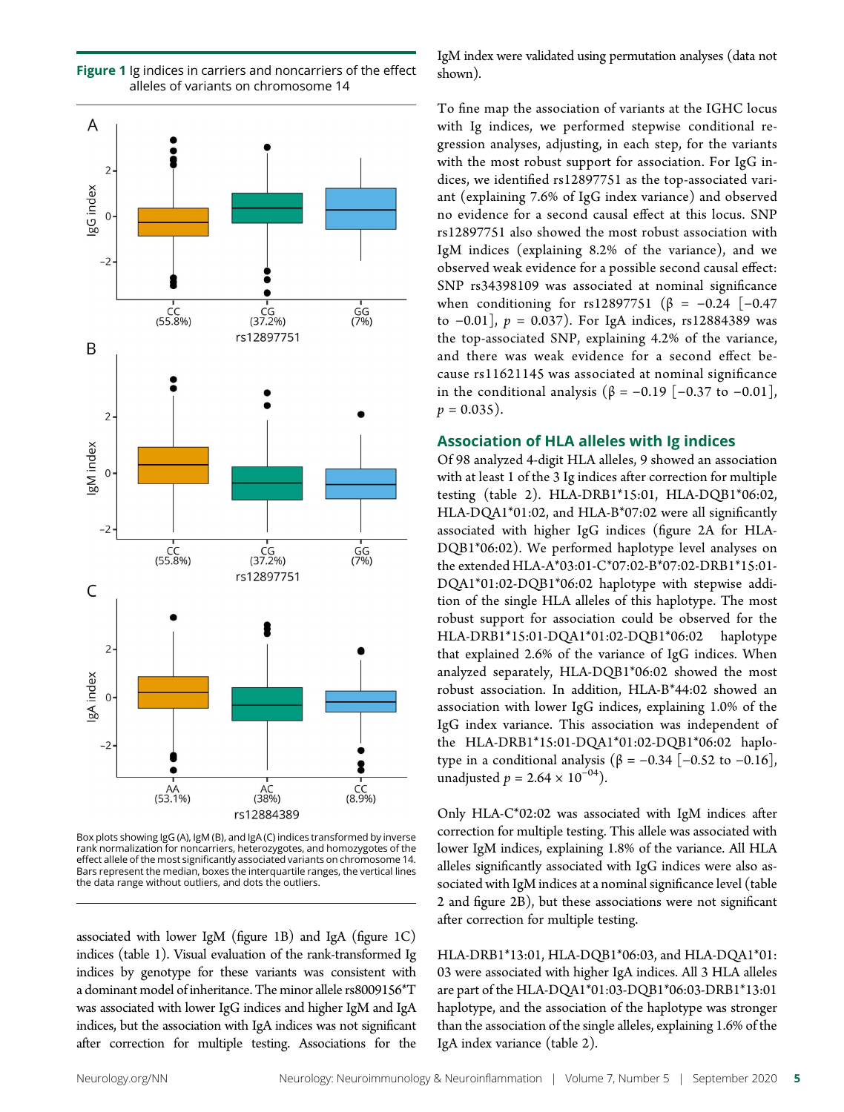

Figure 1 Ig indices in carriers and noncarriers of the effect alleles of variants on chromosome 14

To fine map the association of variants at the IGHC locus with Ig indices, we performed stepwise conditional regression analyses, adjusting, in each step, for the variants with the most robust support for association. For IgG indices, we identified rs12897751 as the top-associated variant (explaining 7.6% of IgG index variance) and observed no evidence for a second causal effect at this locus. SNP rs12897751 also showed the most robust association with IgM indices (explaining 8.2% of the variance), and we observed weak evidence for a possible second causal effect: SNP rs34398109 was associated at nominal significance when conditioning for rs12897751 (β = -0.24 [-0.47 to  $-0.01$ ],  $p = 0.037$ ). For IgA indices, rs12884389 was the top-associated SNP, explaining 4.2% of the variance, and there was weak evidence for a second effect because rs11621145 was associated at nominal significance in the conditional analysis ( $β = -0.19$  [-0.37 to -0.01],  $p = 0.035$ ).

IgM index were validated using permutation analyses (data not

shown).

#### Association of HLA alleles with Ig indices

Of 98 analyzed 4-digit HLA alleles, 9 showed an association with at least 1 of the 3 Ig indices after correction for multiple testing (table 2). HLA-DRB1\*15:01, HLA-DQB1\*06:02, HLA-DQA1\*01:02, and HLA-B\*07:02 were all significantly associated with higher IgG indices (figure 2A for HLA-DQB1\*06:02). We performed haplotype level analyses on the extended HLA-A\*03:01-C\*07:02-B\*07:02-DRB1\*15:01- DQA1\*01:02-DQB1\*06:02 haplotype with stepwise addition of the single HLA alleles of this haplotype. The most robust support for association could be observed for the HLA-DRB1\*15:01-DQA1\*01:02-DQB1\*06:02 haplotype that explained 2.6% of the variance of IgG indices. When analyzed separately, HLA-DQB1\*06:02 showed the most robust association. In addition, HLA-B\*44:02 showed an association with lower IgG indices, explaining 1.0% of the IgG index variance. This association was independent of the HLA-DRB1\*15:01-DQA1\*01:02-DQB1\*06:02 haplotype in a conditional analysis ( $β = -0.34$  [ $-0.52$  to  $-0.16$ ], unadjusted  $p = 2.64 \times 10^{-04}$ ).

Only HLA-C\*02:02 was associated with IgM indices after correction for multiple testing. This allele was associated with lower IgM indices, explaining 1.8% of the variance. All HLA alleles significantly associated with IgG indices were also associated with IgM indices at a nominal significance level (table 2 and figure 2B), but these associations were not significant after correction for multiple testing.

HLA-DRB1\*13:01, HLA-DQB1\*06:03, and HLA-DQA1\*01: 03 were associated with higher IgA indices. All 3 HLA alleles are part of the HLA-DQA1\*01:03-DQB1\*06:03-DRB1\*13:01 haplotype, and the association of the haplotype was stronger than the association of the single alleles, explaining 1.6% of the IgA index variance (table 2).

Box plots showing IgG (A), IgM (B), and IgA (C) indices transformed by inverse rank normalization for noncarriers, heterozygotes, and homozygotes of the effect allele of the most significantly associated variants on chromosome 14. Bars represent the median, boxes the interquartile ranges, the vertical lines the data range without outliers, and dots the outliers.

associated with lower IgM (figure 1B) and IgA (figure 1C) indices (table 1). Visual evaluation of the rank-transformed Ig indices by genotype for these variants was consistent with a dominant model of inheritance. The minor allele rs8009156\*T was associated with lower IgG indices and higher IgM and IgA indices, but the association with IgA indices was not significant after correction for multiple testing. Associations for the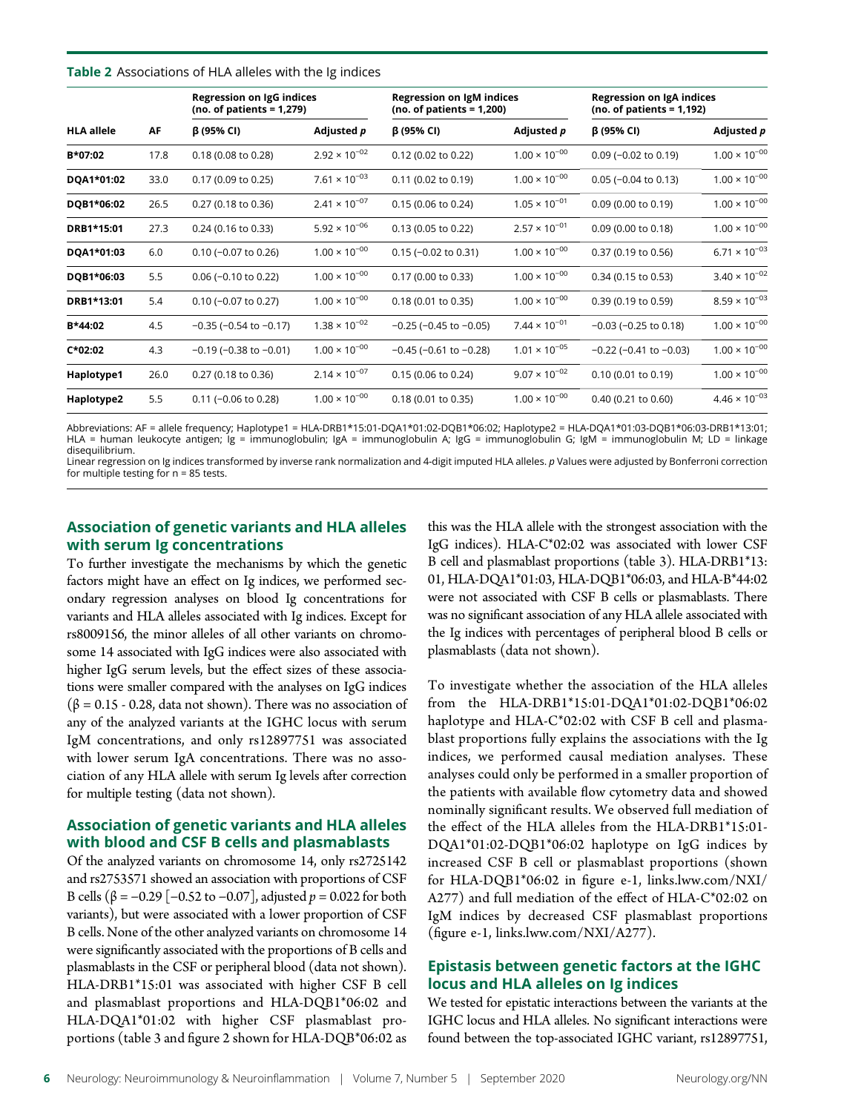#### **Table 2** Associations of HLA alleles with the Ig indices

|                   | AF   | Regression on IgG indices<br>(no. of patients = $1,279$ ) |                        | Regression on IgM indices<br>$(no. of patients = 1,200)$ |                        | Regression on IgA indices<br>$(no. of patients = 1,192)$ |                        |
|-------------------|------|-----------------------------------------------------------|------------------------|----------------------------------------------------------|------------------------|----------------------------------------------------------|------------------------|
| <b>HLA allele</b> |      | $\beta$ (95% CI)                                          | Adjusted p             | $\beta$ (95% CI)                                         | Adjusted <i>p</i>      | β (95% CI)                                               | Adjusted <i>p</i>      |
| B*07:02           | 17.8 | 0.18 (0.08 to 0.28)                                       | $2.92 \times 10^{-02}$ | 0.12 (0.02 to 0.22)                                      | $1.00 \times 10^{-00}$ | $0.09$ (-0.02 to 0.19)                                   | $1.00 \times 10^{-00}$ |
| DQA1*01:02        | 33.0 | 0.17 (0.09 to 0.25)                                       | $7.61 \times 10^{-03}$ | 0.11 (0.02 to 0.19)                                      | $1.00 \times 10^{-00}$ | $0.05$ (-0.04 to 0.13)                                   | $1.00 \times 10^{-00}$ |
| DQB1*06:02        | 26.5 | 0.27 (0.18 to 0.36)                                       | $2.41 \times 10^{-07}$ | 0.15 (0.06 to 0.24)                                      | $1.05 \times 10^{-01}$ | 0.09 (0.00 to 0.19)                                      | $1.00 \times 10^{-00}$ |
| DRB1*15:01        | 27.3 | $0.24$ (0.16 to 0.33)                                     | $5.92 \times 10^{-06}$ | 0.13 (0.05 to 0.22)                                      | $2.57 \times 10^{-01}$ | 0.09 (0.00 to 0.18)                                      | $1.00 \times 10^{-00}$ |
| DQA1*01:03        | 6.0  | $0.10$ (-0.07 to 0.26)                                    | $1.00 \times 10^{-00}$ | $0.15$ (-0.02 to 0.31)                                   | $1.00 \times 10^{-00}$ | 0.37 (0.19 to 0.56)                                      | $6.71 \times 10^{-03}$ |
| DQB1*06:03        | 5.5  | $0.06$ (-0.10 to 0.22)                                    | $1.00 \times 10^{-00}$ | 0.17 (0.00 to 0.33)                                      | $1.00 \times 10^{-00}$ | 0.34 (0.15 to 0.53)                                      | $3.40 \times 10^{-02}$ |
| DRB1*13:01        | 5.4  | $0.10$ (-0.07 to 0.27)                                    | $1.00 \times 10^{-00}$ | 0.18 (0.01 to 0.35)                                      | $1.00 \times 10^{-00}$ | 0.39 (0.19 to 0.59)                                      | $8.59 \times 10^{-03}$ |
| B*44:02           | 4.5  | $-0.35$ ( $-0.54$ to $-0.17$ )                            | $1.38 \times 10^{-02}$ | $-0.25$ ( $-0.45$ to $-0.05$ )                           | $7.44 \times 10^{-01}$ | $-0.03$ ( $-0.25$ to 0.18)                               | $1.00 \times 10^{-00}$ |
| C*02:02           | 4.3  | $-0.19$ ( $-0.38$ to $-0.01$ )                            | $1.00 \times 10^{-00}$ | $-0.45$ ( $-0.61$ to $-0.28$ )                           | $1.01 \times 10^{-05}$ | $-0.22$ ( $-0.41$ to $-0.03$ )                           | $1.00 \times 10^{-00}$ |
| Haplotype1        | 26.0 | 0.27 (0.18 to 0.36)                                       | $2.14 \times 10^{-07}$ | 0.15 (0.06 to 0.24)                                      | $9.07 \times 10^{-02}$ | 0.10 (0.01 to 0.19)                                      | $1.00 \times 10^{-00}$ |
| Haplotype2        | 5.5  | $0.11$ (-0.06 to 0.28)                                    | $1.00 \times 10^{-00}$ | 0.18 (0.01 to 0.35)                                      | $1.00 \times 10^{-00}$ | 0.40 (0.21 to 0.60)                                      | $4.46 \times 10^{-03}$ |

Abbreviations: AF = allele frequency; Haplotype1 = HLA-DRB1\*15:01-DQA1\*01:02-DQB1\*06:02; Haplotype2 = HLA-DQA1\*01:03-DQB1\*06:03-DRB1\*13:01; HLA = human leukocyte antigen; Ig = immunoglobulin; IgA = immunoglobulin A; IgG = immunoglobulin G; IgM = immunoglobulin M; LD = linkage disequilibrium.

Linear regression on Ig indices transformed by inverse rank normalization and 4-digit imputed HLA alleles. p Values were adjusted by Bonferroni correction for multiple testing for n = 85 tests.

#### Association of genetic variants and HLA alleles with serum Ig concentrations

To further investigate the mechanisms by which the genetic factors might have an effect on Ig indices, we performed secondary regression analyses on blood Ig concentrations for variants and HLA alleles associated with Ig indices. Except for rs8009156, the minor alleles of all other variants on chromosome 14 associated with IgG indices were also associated with higher IgG serum levels, but the effect sizes of these associations were smaller compared with the analyses on IgG indices (β = 0.15 - 0.28, data not shown). There was no association of any of the analyzed variants at the IGHC locus with serum IgM concentrations, and only rs12897751 was associated with lower serum IgA concentrations. There was no association of any HLA allele with serum Ig levels after correction for multiple testing (data not shown).

#### Association of genetic variants and HLA alleles with blood and CSF B cells and plasmablasts

Of the analyzed variants on chromosome 14, only rs2725142 and rs2753571 showed an association with proportions of CSF B cells (β = -0.29 [-0.52 to -0.07], adjusted  $p = 0.022$  for both variants), but were associated with a lower proportion of CSF B cells. None of the other analyzed variants on chromosome 14 were significantly associated with the proportions of B cells and plasmablasts in the CSF or peripheral blood (data not shown). HLA-DRB1\*15:01 was associated with higher CSF B cell and plasmablast proportions and HLA-DQB1\*06:02 and HLA-DQA1\*01:02 with higher CSF plasmablast proportions (table 3 and figure 2 shown for HLA-DQB\*06:02 as

this was the HLA allele with the strongest association with the IgG indices). HLA-C\*02:02 was associated with lower CSF B cell and plasmablast proportions (table 3). HLA-DRB1\*13: 01, HLA-DQA1\*01:03, HLA-DQB1\*06:03, and HLA-B\*44:02 were not associated with CSF B cells or plasmablasts. There was no significant association of any HLA allele associated with the Ig indices with percentages of peripheral blood B cells or plasmablasts (data not shown).

To investigate whether the association of the HLA alleles from the HLA-DRB1\*15:01-DQA1\*01:02-DQB1\*06:02 haplotype and HLA-C\*02:02 with CSF B cell and plasmablast proportions fully explains the associations with the Ig indices, we performed causal mediation analyses. These analyses could only be performed in a smaller proportion of the patients with available flow cytometry data and showed nominally significant results. We observed full mediation of the effect of the HLA alleles from the HLA-DRB1\*15:01- DQA1\*01:02-DQB1\*06:02 haplotype on IgG indices by increased CSF B cell or plasmablast proportions (shown for HLA-DQB1\*06:02 in figure e-1, [links.lww.com/NXI/](http://links.lww.com/NXI/A277) [A277\)](http://links.lww.com/NXI/A277) and full mediation of the effect of HLA-C\*02:02 on IgM indices by decreased CSF plasmablast proportions (figure e-1, [links.lww.com/NXI/A277](http://links.lww.com/NXI/A277)).

#### Epistasis between genetic factors at the IGHC locus and HLA alleles on Ig indices

We tested for epistatic interactions between the variants at the IGHC locus and HLA alleles. No significant interactions were found between the top-associated IGHC variant, rs12897751,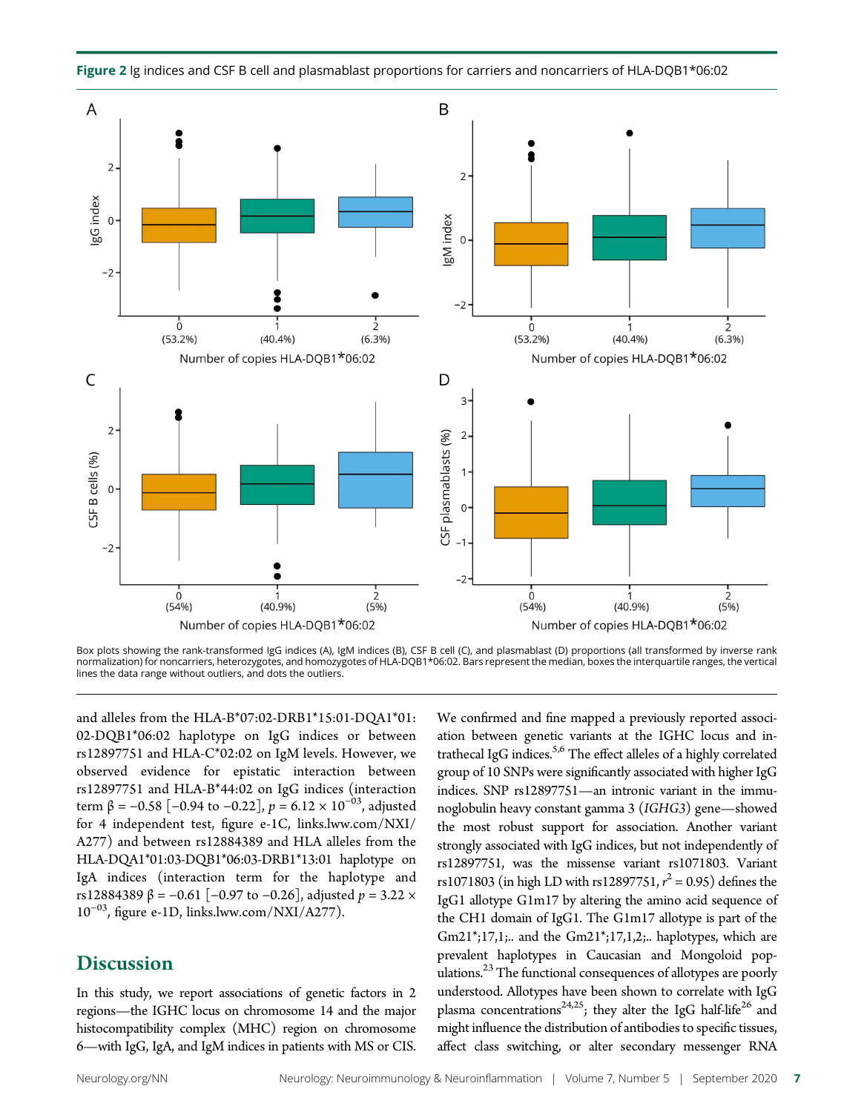

Figure 2 Ig indices and CSF B cell and plasmablast proportions for carriers and noncarriers of HLA-DQB1\*06:02

Box plots showing the rank-transformed IgG indices (A), IgM indices (B), CSF B cell (C), and plasmablast (D) proportions (all transformed by inverse rank normalization) for noncarriers, heterozygotes, and homozygotes of HLA-DQB1\*06:02. Bars represent the median, boxes the interquartile ranges, the vertical lines the data range without outliers, and dots the outliers.

and alleles from the HLA-B\*07:02-DRB1\*15:01-DQA1\*01: 02-DQB1\*06:02 haplotype on IgG indices or between rs12897751 and HLA-C\*02:02 on IgM levels. However, we observed evidence for epistatic interaction between rs12897751 and HLA-B\*44:02 on IgG indices (interaction term β = -0.58 [-0.94 to -0.22],  $p = 6.12 \times 10^{-03}$ , adjusted for 4 independent test, figure e-1C, [links.lww.com/NXI/](http://links.lww.com/NXI/A277) [A277](http://links.lww.com/NXI/A277)) and between rs12884389 and HLA alleles from the HLA-DQA1\*01:03-DQB1\*06:03-DRB1\*13:01 haplotype on IgA indices (interaction term for the haplotype and rs12884389 β = -0.61 [-0.97 to -0.26], adjusted  $p = 3.22$  × 10<sup>−</sup>03, figure e-1D, [links.lww.com/NXI/A277](http://links.lww.com/NXI/A277)).

## **Discussion**

In this study, we report associations of genetic factors in 2 regions—the IGHC locus on chromosome 14 and the major histocompatibility complex (MHC) region on chromosome 6—with IgG, IgA, and IgM indices in patients with MS or CIS.

We confirmed and fine mapped a previously reported association between genetic variants at the IGHC locus and intrathecal IgG indices.<sup>5,6</sup> The effect alleles of a highly correlated group of 10 SNPs were significantly associated with higher IgG indices. SNP rs12897751—an intronic variant in the immunoglobulin heavy constant gamma 3 (IGHG3) gene—showed the most robust support for association. Another variant strongly associated with IgG indices, but not independently of rs12897751, was the missense variant rs1071803. Variant rs1071803 (in high LD with rs12897751,  $r^2 = 0.95$ ) defines the<br>IgC1 allotupe G1m17 by altering the amino acid sequence of IgG1 allotype G1m17 by altering the amino acid sequence of the CH1 domain of IgG1. The G1m17 allotype is part of the Gm21\*;17,1;.. and the Gm21\*;17,1,2;.. haplotypes, which are prevalent haplotypes in Caucasian and Mongoloid populations.<sup>23</sup> The functional consequences of allotypes are poorly understood. Allotypes have been shown to correlate with IgG plasma concentrations<sup>24,25</sup>; they alter the IgG half-life<sup>26</sup> and might influence the distribution of antibodies to specific tissues, affect class switching, or alter secondary messenger RNA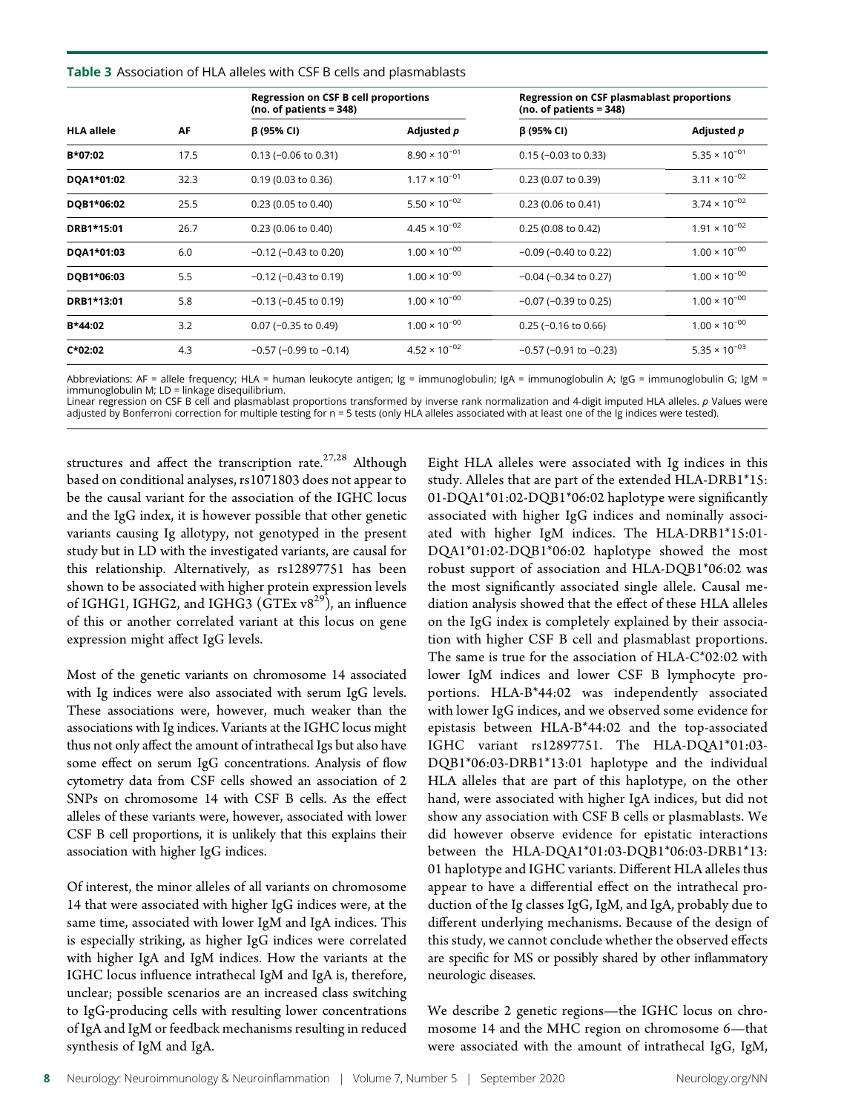#### Table 3 Association of HLA alleles with CSF B cells and plasmablasts

|                   |      | <b>Regression on CSF B cell proportions</b><br>$(no. of patients = 348)$ |                        | <b>Regression on CSF plasmablast proportions</b><br>(no. of patients $= 348$ ) |                        |  |
|-------------------|------|--------------------------------------------------------------------------|------------------------|--------------------------------------------------------------------------------|------------------------|--|
| <b>HLA allele</b> | AF   | $\beta$ (95% CI)                                                         | Adjusted <i>p</i>      | $\beta$ (95% CI)                                                               | Adjusted <i>p</i>      |  |
| B*07:02           | 17.5 | $0.13$ (-0.06 to 0.31)                                                   | $8.90 \times 10^{-01}$ | $0.15$ (-0.03 to 0.33)                                                         | $5.35 \times 10^{-01}$ |  |
| DQA1*01:02        | 32.3 | 0.19 (0.03 to 0.36)                                                      | $1.17 \times 10^{-01}$ | 0.23 (0.07 to 0.39)                                                            | $3.11 \times 10^{-02}$ |  |
| DQB1*06:02        | 25.5 | $0.23$ (0.05 to 0.40)                                                    | $5.50 \times 10^{-02}$ | 0.23 (0.06 to 0.41)                                                            | $3.74 \times 10^{-02}$ |  |
| DRB1*15:01        | 26.7 | $0.23$ (0.06 to 0.40)                                                    | $4.45 \times 10^{-02}$ | 0.25 (0.08 to 0.42)                                                            | $1.91 \times 10^{-02}$ |  |
| DQA1*01:03        | 6.0  | $-0.12$ ( $-0.43$ to 0.20)                                               | $1.00 \times 10^{-00}$ | $-0.09$ ( $-0.40$ to 0.22)                                                     | $1.00 \times 10^{-00}$ |  |
| DQB1*06:03        | 5.5  | $-0.12$ ( $-0.43$ to 0.19)                                               | $1.00 \times 10^{-00}$ | $-0.04$ ( $-0.34$ to 0.27)                                                     | $1.00 \times 10^{-00}$ |  |
| DRB1*13:01        | 5.8  | $-0.13$ ( $-0.45$ to 0.19)                                               | $1.00 \times 10^{-00}$ | $-0.07$ ( $-0.39$ to 0.25)                                                     | $1.00 \times 10^{-00}$ |  |
| B*44:02           | 3.2  | $0.07$ (-0.35 to 0.49)                                                   | $1.00 \times 10^{-00}$ | $0.25$ (-0.16 to 0.66)                                                         | $1.00 \times 10^{-00}$ |  |
| $C*02:02$         | 4.3  | $-0.57$ ( $-0.99$ to $-0.14$ )                                           | $4.52 \times 10^{-02}$ | $-0.57$ ( $-0.91$ to $-0.23$ )                                                 | $5.35 \times 10^{-03}$ |  |

Abbreviations: AF = allele frequency; HLA = human leukocyte antigen; Ig = immunoglobulin; IgA = immunoglobulin A; IgG = immunoglobulin G; IgM = immunoglobulin M; LD = linkage disequilibrium.

Linear regression on CSF B cell and plasmablast proportions transformed by inverse rank normalization and 4-digit imputed HLA alleles.  $p$  Values were<br>adjusted by Bonferroni correction for multiple testing for n = 5 tests

structures and affect the transcription rate.<sup>27,28</sup> Although based on conditional analyses, rs1071803 does not appear to be the causal variant for the association of the IGHC locus and the IgG index, it is however possible that other genetic variants causing Ig allotypy, not genotyped in the present study but in LD with the investigated variants, are causal for this relationship. Alternatively, as rs12897751 has been shown to be associated with higher protein expression levels of IGHG1, IGHG2, and IGHG3 (GTEx  $v8^{29}$ ), an influence of this or another correlated variant at this locus on gene expression might affect IgG levels.

Most of the genetic variants on chromosome 14 associated with Ig indices were also associated with serum IgG levels. These associations were, however, much weaker than the associations with Ig indices. Variants at the IGHC locus might thus not only affect the amount of intrathecal Igs but also have some effect on serum IgG concentrations. Analysis of flow cytometry data from CSF cells showed an association of 2 SNPs on chromosome 14 with CSF B cells. As the effect alleles of these variants were, however, associated with lower CSF B cell proportions, it is unlikely that this explains their association with higher IgG indices.

Of interest, the minor alleles of all variants on chromosome 14 that were associated with higher IgG indices were, at the same time, associated with lower IgM and IgA indices. This is especially striking, as higher IgG indices were correlated with higher IgA and IgM indices. How the variants at the IGHC locus influence intrathecal IgM and IgA is, therefore, unclear; possible scenarios are an increased class switching to IgG-producing cells with resulting lower concentrations of IgA and IgM or feedback mechanisms resulting in reduced synthesis of IgM and IgA.

Eight HLA alleles were associated with Ig indices in this study. Alleles that are part of the extended HLA-DRB1\*15: 01-DQA1\*01:02-DQB1\*06:02 haplotype were significantly associated with higher IgG indices and nominally associated with higher IgM indices. The HLA-DRB1\*15:01- DQA1\*01:02-DQB1\*06:02 haplotype showed the most robust support of association and HLA-DQB1\*06:02 was the most significantly associated single allele. Causal mediation analysis showed that the effect of these HLA alleles on the IgG index is completely explained by their association with higher CSF B cell and plasmablast proportions. The same is true for the association of HLA-C\*02:02 with lower IgM indices and lower CSF B lymphocyte proportions. HLA-B\*44:02 was independently associated with lower IgG indices, and we observed some evidence for epistasis between HLA-B\*44:02 and the top-associated IGHC variant rs12897751. The HLA-DQA1\*01:03- DQB1\*06:03-DRB1\*13:01 haplotype and the individual HLA alleles that are part of this haplotype, on the other hand, were associated with higher IgA indices, but did not show any association with CSF B cells or plasmablasts. We did however observe evidence for epistatic interactions between the HLA-DQA1\*01:03-DQB1\*06:03-DRB1\*13: 01 haplotype and IGHC variants. Different HLA alleles thus appear to have a differential effect on the intrathecal production of the Ig classes IgG, IgM, and IgA, probably due to different underlying mechanisms. Because of the design of this study, we cannot conclude whether the observed effects are specific for MS or possibly shared by other inflammatory neurologic diseases.

We describe 2 genetic regions—the IGHC locus on chromosome 14 and the MHC region on chromosome 6—that were associated with the amount of intrathecal IgG, IgM,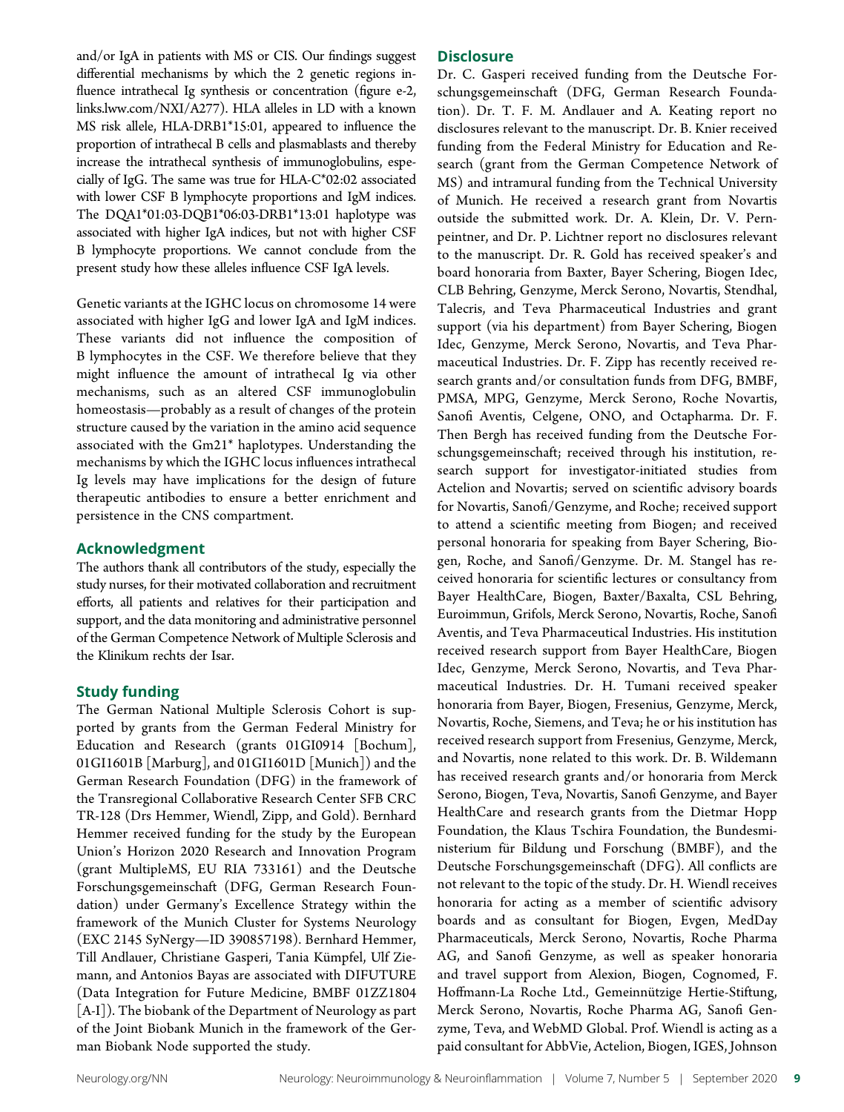and/or IgA in patients with MS or CIS. Our findings suggest differential mechanisms by which the 2 genetic regions influence intrathecal Ig synthesis or concentration (figure e-2, [links.lww.com/NXI/A277](http://links.lww.com/NXI/A277)). HLA alleles in LD with a known MS risk allele, HLA-DRB1\*15:01, appeared to influence the proportion of intrathecal B cells and plasmablasts and thereby increase the intrathecal synthesis of immunoglobulins, especially of IgG. The same was true for HLA-C\*02:02 associated with lower CSF B lymphocyte proportions and IgM indices. The DQA1\*01:03-DQB1\*06:03-DRB1\*13:01 haplotype was associated with higher IgA indices, but not with higher CSF B lymphocyte proportions. We cannot conclude from the present study how these alleles influence CSF IgA levels.

Genetic variants at the IGHC locus on chromosome 14 were associated with higher IgG and lower IgA and IgM indices. These variants did not influence the composition of B lymphocytes in the CSF. We therefore believe that they might influence the amount of intrathecal Ig via other mechanisms, such as an altered CSF immunoglobulin homeostasis—probably as a result of changes of the protein structure caused by the variation in the amino acid sequence associated with the Gm21\* haplotypes. Understanding the mechanisms by which the IGHC locus influences intrathecal Ig levels may have implications for the design of future therapeutic antibodies to ensure a better enrichment and persistence in the CNS compartment.

#### Acknowledgment

The authors thank all contributors of the study, especially the study nurses, for their motivated collaboration and recruitment efforts, all patients and relatives for their participation and support, and the data monitoring and administrative personnel of the German Competence Network of Multiple Sclerosis and the Klinikum rechts der Isar.

#### Study funding

The German National Multiple Sclerosis Cohort is supported by grants from the German Federal Ministry for Education and Research (grants 01GI0914 [Bochum], 01GI1601B [Marburg], and 01GI1601D [Munich]) and the German Research Foundation (DFG) in the framework of the Transregional Collaborative Research Center SFB CRC TR-128 (Drs Hemmer, Wiendl, Zipp, and Gold). Bernhard Hemmer received funding for the study by the European Union's Horizon 2020 Research and Innovation Program (grant MultipleMS, EU RIA 733161) and the Deutsche Forschungsgemeinschaft (DFG, German Research Foundation) under Germany's Excellence Strategy within the framework of the Munich Cluster for Systems Neurology (EXC 2145 SyNergy—ID 390857198). Bernhard Hemmer, Till Andlauer, Christiane Gasperi, Tania Kümpfel, Ulf Ziemann, and Antonios Bayas are associated with DIFUTURE (Data Integration for Future Medicine, BMBF 01ZZ1804 [A-I]). The biobank of the Department of Neurology as part of the Joint Biobank Munich in the framework of the German Biobank Node supported the study.

#### **Disclosure**

Dr. C. Gasperi received funding from the Deutsche Forschungsgemeinschaft (DFG, German Research Foundation). Dr. T. F. M. Andlauer and A. Keating report no disclosures relevant to the manuscript. Dr. B. Knier received funding from the Federal Ministry for Education and Research (grant from the German Competence Network of MS) and intramural funding from the Technical University of Munich. He received a research grant from Novartis outside the submitted work. Dr. A. Klein, Dr. V. Pernpeintner, and Dr. P. Lichtner report no disclosures relevant to the manuscript. Dr. R. Gold has received speaker's and board honoraria from Baxter, Bayer Schering, Biogen Idec, CLB Behring, Genzyme, Merck Serono, Novartis, Stendhal, Talecris, and Teva Pharmaceutical Industries and grant support (via his department) from Bayer Schering, Biogen Idec, Genzyme, Merck Serono, Novartis, and Teva Pharmaceutical Industries. Dr. F. Zipp has recently received research grants and/or consultation funds from DFG, BMBF, PMSA, MPG, Genzyme, Merck Serono, Roche Novartis, Sanofi Aventis, Celgene, ONO, and Octapharma. Dr. F. Then Bergh has received funding from the Deutsche Forschungsgemeinschaft; received through his institution, research support for investigator-initiated studies from Actelion and Novartis; served on scientific advisory boards for Novartis, Sanofi/Genzyme, and Roche; received support to attend a scientific meeting from Biogen; and received personal honoraria for speaking from Bayer Schering, Biogen, Roche, and Sanofi/Genzyme. Dr. M. Stangel has received honoraria for scientific lectures or consultancy from Bayer HealthCare, Biogen, Baxter/Baxalta, CSL Behring, Euroimmun, Grifols, Merck Serono, Novartis, Roche, Sanofi Aventis, and Teva Pharmaceutical Industries. His institution received research support from Bayer HealthCare, Biogen Idec, Genzyme, Merck Serono, Novartis, and Teva Pharmaceutical Industries. Dr. H. Tumani received speaker honoraria from Bayer, Biogen, Fresenius, Genzyme, Merck, Novartis, Roche, Siemens, and Teva; he or his institution has received research support from Fresenius, Genzyme, Merck, and Novartis, none related to this work. Dr. B. Wildemann has received research grants and/or honoraria from Merck Serono, Biogen, Teva, Novartis, Sanofi Genzyme, and Bayer HealthCare and research grants from the Dietmar Hopp Foundation, the Klaus Tschira Foundation, the Bundesministerium für Bildung und Forschung (BMBF), and the Deutsche Forschungsgemeinschaft (DFG). All conflicts are not relevant to the topic of the study. Dr. H. Wiendl receives honoraria for acting as a member of scientific advisory boards and as consultant for Biogen, Evgen, MedDay Pharmaceuticals, Merck Serono, Novartis, Roche Pharma AG, and Sanofi Genzyme, as well as speaker honoraria and travel support from Alexion, Biogen, Cognomed, F. Hoffmann-La Roche Ltd., Gemeinnützige Hertie-Stiftung, Merck Serono, Novartis, Roche Pharma AG, Sanofi Genzyme, Teva, and WebMD Global. Prof. Wiendl is acting as a paid consultant for AbbVie, Actelion, Biogen, IGES, Johnson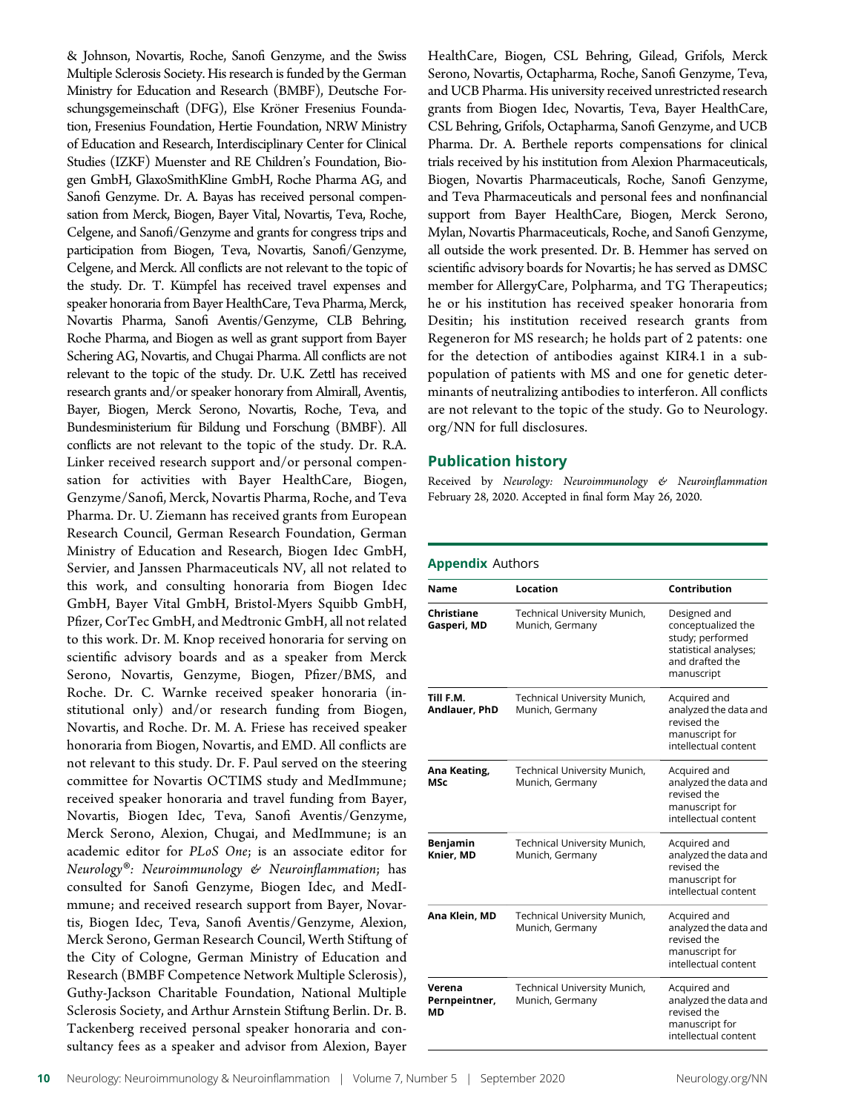& Johnson, Novartis, Roche, Sanofi Genzyme, and the Swiss Multiple Sclerosis Society. His research is funded by the German Ministry for Education and Research (BMBF), Deutsche Forschungsgemeinschaft (DFG), Else Kröner Fresenius Foundation, Fresenius Foundation, Hertie Foundation, NRW Ministry of Education and Research, Interdisciplinary Center for Clinical Studies (IZKF) Muenster and RE Children's Foundation, Biogen GmbH, GlaxoSmithKline GmbH, Roche Pharma AG, and Sanofi Genzyme. Dr. A. Bayas has received personal compensation from Merck, Biogen, Bayer Vital, Novartis, Teva, Roche, Celgene, and Sanofi/Genzyme and grants for congress trips and participation from Biogen, Teva, Novartis, Sanofi/Genzyme, Celgene, and Merck. All conflicts are not relevant to the topic of the study. Dr. T. Kümpfel has received travel expenses and speaker honoraria from Bayer HealthCare, Teva Pharma, Merck, Novartis Pharma, Sanofi Aventis/Genzyme, CLB Behring, Roche Pharma, and Biogen as well as grant support from Bayer Schering AG, Novartis, and Chugai Pharma. All conflicts are not relevant to the topic of the study. Dr. U.K. Zettl has received research grants and/or speaker honorary from Almirall, Aventis, Bayer, Biogen, Merck Serono, Novartis, Roche, Teva, and Bundesministerium für Bildung und Forschung (BMBF). All conflicts are not relevant to the topic of the study. Dr. R.A. Linker received research support and/or personal compensation for activities with Bayer HealthCare, Biogen, Genzyme/Sanofi, Merck, Novartis Pharma, Roche, and Teva Pharma. Dr. U. Ziemann has received grants from European Research Council, German Research Foundation, German Ministry of Education and Research, Biogen Idec GmbH, Servier, and Janssen Pharmaceuticals NV, all not related to this work, and consulting honoraria from Biogen Idec GmbH, Bayer Vital GmbH, Bristol-Myers Squibb GmbH, Pfizer, CorTec GmbH, and Medtronic GmbH, all not related to this work. Dr. M. Knop received honoraria for serving on scientific advisory boards and as a speaker from Merck Serono, Novartis, Genzyme, Biogen, Pfizer/BMS, and Roche. Dr. C. Warnke received speaker honoraria (institutional only) and/or research funding from Biogen, Novartis, and Roche. Dr. M. A. Friese has received speaker honoraria from Biogen, Novartis, and EMD. All conflicts are not relevant to this study. Dr. F. Paul served on the steering committee for Novartis OCTIMS study and MedImmune; received speaker honoraria and travel funding from Bayer, Novartis, Biogen Idec, Teva, Sanofi Aventis/Genzyme, Merck Serono, Alexion, Chugai, and MedImmune; is an academic editor for PLoS One; is an associate editor for Neurology®: Neuroimmunology & Neuroinflammation; has consulted for Sanofi Genzyme, Biogen Idec, and MedImmune; and received research support from Bayer, Novartis, Biogen Idec, Teva, Sanofi Aventis/Genzyme, Alexion, Merck Serono, German Research Council, Werth Stiftung of the City of Cologne, German Ministry of Education and Research (BMBF Competence Network Multiple Sclerosis), Guthy-Jackson Charitable Foundation, National Multiple Sclerosis Society, and Arthur Arnstein Stiftung Berlin. Dr. B. Tackenberg received personal speaker honoraria and consultancy fees as a speaker and advisor from Alexion, Bayer

HealthCare, Biogen, CSL Behring, Gilead, Grifols, Merck Serono, Novartis, Octapharma, Roche, Sanofi Genzyme, Teva, and UCB Pharma. His university received unrestricted research grants from Biogen Idec, Novartis, Teva, Bayer HealthCare, CSL Behring, Grifols, Octapharma, Sanofi Genzyme, and UCB Pharma. Dr. A. Berthele reports compensations for clinical trials received by his institution from Alexion Pharmaceuticals, Biogen, Novartis Pharmaceuticals, Roche, Sanofi Genzyme, and Teva Pharmaceuticals and personal fees and nonfinancial support from Bayer HealthCare, Biogen, Merck Serono, Mylan, Novartis Pharmaceuticals, Roche, and Sanofi Genzyme, all outside the work presented. Dr. B. Hemmer has served on scientific advisory boards for Novartis; he has served as DMSC member for AllergyCare, Polpharma, and TG Therapeutics; he or his institution has received speaker honoraria from Desitin; his institution received research grants from Regeneron for MS research; he holds part of 2 patents: one for the detection of antibodies against KIR4.1 in a subpopulation of patients with MS and one for genetic determinants of neutralizing antibodies to interferon. All conflicts are not relevant to the topic of the study. Go to [Neurology.](https://nn.neurology.org/content/7/5/e827/tab-article-info) [org/NN](https://nn.neurology.org/content/7/5/e827/tab-article-info) for full disclosures.

#### Publication history

Received by Neurology: Neuroimmunology & Neuroinflammation February 28, 2020. Accepted in final form May 26, 2020.

#### Appendix Authors

| Name                          | Location                                        | Contribution                                                                                                     |
|-------------------------------|-------------------------------------------------|------------------------------------------------------------------------------------------------------------------|
| Christiane<br>Gasperi, MD     | Technical University Munich,<br>Munich, Germany | Designed and<br>conceptualized the<br>study; performed<br>statistical analyses;<br>and drafted the<br>manuscript |
| Till F.M.<br>Andlauer, PhD    | Technical University Munich,<br>Munich, Germany | Acquired and<br>analyzed the data and<br>revised the<br>manuscript for<br>intellectual content                   |
| Ana Keating,<br>MSc           | Technical University Munich,<br>Munich, Germany | Acquired and<br>analyzed the data and<br>revised the<br>manuscript for<br>intellectual content                   |
| <b>Benjamin</b><br>Knier, MD  | Technical University Munich,<br>Munich, Germany | Acquired and<br>analyzed the data and<br>revised the<br>manuscript for<br>intellectual content                   |
| Ana Klein, MD                 | Technical University Munich,<br>Munich, Germany | Acquired and<br>analyzed the data and<br>revised the<br>manuscript for<br>intellectual content                   |
| Verena<br>Pernpeintner,<br>МD | Technical University Munich,<br>Munich, Germany | Acquired and<br>analyzed the data and<br>revised the<br>manuscript for<br>intellectual content                   |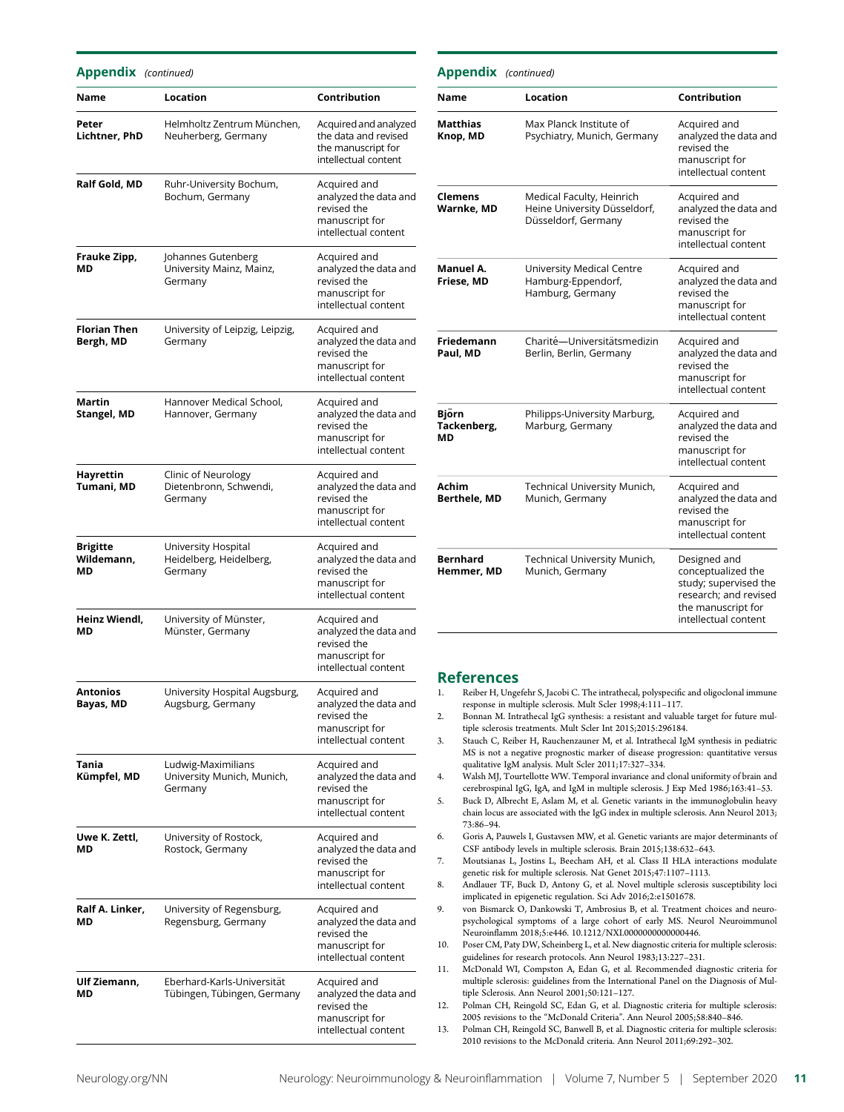Appendix (continued)

| Name                             | Location                                                    | Contribution                                                                                   |
|----------------------------------|-------------------------------------------------------------|------------------------------------------------------------------------------------------------|
| Peter<br>Lichtner, PhD           | Helmholtz Zentrum München,<br>Neuherberg, Germany           | Acquired and analyzed<br>the data and revised<br>the manuscript for<br>intellectual content    |
| Ralf Gold, MD                    | Ruhr-University Bochum,<br>Bochum, Germany                  | Acquired and<br>analyzed the data and<br>revised the<br>manuscript for<br>intellectual content |
| Frauke Zipp,<br>МD               | Johannes Gutenberg<br>University Mainz, Mainz,<br>Germany   | Acquired and<br>analyzed the data and<br>revised the<br>manuscript for<br>intellectual content |
| <b>Florian Then</b><br>Bergh, MD | University of Leipzig, Leipzig,<br>Germany                  | Acquired and<br>analyzed the data and<br>revised the<br>manuscript for<br>intellectual content |
| Martin<br>Stangel, MD            | Hannover Medical School,<br>Hannover, Germany               | Acquired and<br>analyzed the data and<br>revised the<br>manuscript for<br>intellectual content |
| Hayrettin<br>Tumani, MD          | Clinic of Neurology<br>Dietenbronn, Schwendi,<br>Germany    | Acquired and<br>analyzed the data and<br>revised the<br>manuscript for<br>intellectual content |
| Brigitte<br>Wildemann,<br>МD     | University Hospital<br>Heidelberg, Heidelberg,<br>Germany   | Acquired and<br>analyzed the data and<br>revised the<br>manuscript for<br>intellectual content |
| Heinz Wiendl,<br>МD              | University of Münster,<br>Münster, Germany                  | Acquired and<br>analyzed the data and<br>revised the<br>manuscript for<br>intellectual content |
| Antonios<br>Bayas, MD            | University Hospital Augsburg,<br>Augsburg, Germany          | Acquired and<br>analyzed the data and<br>revised the<br>manuscript for<br>intellectual content |
| Tania<br>Kümpfel, MD             | Ludwig-Maximilians<br>University Munich, Munich,<br>Germany | Acquired and<br>analyzed the data and<br>revised the<br>manuscript for<br>intellectual content |
| Uwe K. Zettl,<br>MD              | University of Rostock,<br>Rostock, Germany                  | Acquired and<br>analyzed the data and<br>revised the<br>manuscript for<br>intellectual content |
| Ralf A. Linker,<br>МD            | University of Regensburg,<br>Regensburg, Germany            | Acquired and<br>analyzed the data and<br>revised the<br>manuscript for<br>intellectual content |
| Ulf Ziemann,<br>МD               | Eberhard-Karls-Universität<br>Tübingen, Tübingen, Germany   | Acquired and<br>analyzed the data and<br>revised the<br>manuscript for<br>intellectual content |

| <b>Appendix</b> (continued)       |                                                                                  |                                                                                                                                    |
|-----------------------------------|----------------------------------------------------------------------------------|------------------------------------------------------------------------------------------------------------------------------------|
| Name                              | Location                                                                         | Contribution                                                                                                                       |
| Matthias<br>Knop, MD              | Max Planck Institute of<br>Psychiatry, Munich, Germany                           | Acquired and<br>analyzed the data and<br>revised the<br>manuscript for<br>intellectual content                                     |
| Clemens<br>Warnke, MD             | Medical Faculty, Heinrich<br>Heine University Düsseldorf,<br>Düsseldorf, Germany | Acquired and<br>analyzed the data and<br>revised the<br>manuscript for<br>intellectual content                                     |
| Manuel A.<br>Friese. MD           | University Medical Centre<br>Hamburg-Eppendorf,<br>Hamburg, Germany              | Acquired and<br>analyzed the data and<br>revised the<br>manuscript for<br>intellectual content                                     |
| Friedemann<br>Paul, MD            | Charité-Universitätsmedizin<br>Berlin, Berlin, Germany                           | Acquired and<br>analyzed the data and<br>revised the<br>manuscript for<br>intellectual content                                     |
| <b>Björn</b><br>Tackenberg,<br>МD | Philipps-University Marburg,<br>Marburg, Germany                                 | Acquired and<br>analyzed the data and<br>revised the<br>manuscript for<br>intellectual content                                     |
| Achim<br><b>Berthele, MD</b>      | Technical University Munich,<br>Munich, Germany                                  | Acquired and<br>analyzed the data and<br>revised the<br>manuscript for<br>intellectual content                                     |
| <b>Bernhard</b><br>Hemmer, MD     | Technical University Munich,<br>Munich, Germany                                  | Designed and<br>conceptualized the<br>study; supervised the<br>research; and revised<br>the manuscript for<br>intellectual content |

# **References**<br>1. Reiber H. Unge

- Reiber H, Ungefehr S, Jacobi C. The intrathecal, polyspecific and oligoclonal immune response in multiple sclerosis. Mult Scler 1998;4:111–117.
- 2. Bonnan M. Intrathecal IgG synthesis: a resistant and valuable target for future multiple sclerosis treatments. Mult Scler Int 2015;2015:296184.
- 3. Stauch C, Reiber H, Rauchenzauner M, et al. Intrathecal IgM synthesis in pediatric MS is not a negative prognostic marker of disease progression: quantitative versus qualitative IgM analysis. Mult Scler 2011;17:327–334.
- 4. Walsh MJ, Tourtellotte WW. Temporal invariance and clonal uniformity of brain and cerebrospinal IgG, IgA, and IgM in multiple sclerosis. J Exp Med 1986;163:41–53.
- 5. Buck D, Albrecht E, Aslam M, et al. Genetic variants in the immunoglobulin heavy chain locus are associated with the IgG index in multiple sclerosis. Ann Neurol 2013; 73:86–94.
- 6. Goris A, Pauwels I, Gustavsen MW, et al. Genetic variants are major determinants of CSF antibody levels in multiple sclerosis. Brain 2015;138:632–643.
- 7. Moutsianas L, Jostins L, Beecham AH, et al. Class II HLA interactions modulate genetic risk for multiple sclerosis. Nat Genet 2015;47:1107–1113.
- 8. Andlauer TF, Buck D, Antony G, et al. Novel multiple sclerosis susceptibility loci implicated in epigenetic regulation. Sci Adv 2016;2:e1501678.
- 9. von Bismarck O, Dankowski T, Ambrosius B, et al. Treatment choices and neuropsychological symptoms of a large cohort of early MS. Neurol Neuroimmunol Neuroinflamm 2018;5:e446. [10.1212/NXI.0000000000000446.](https://nn.neurology.org/content/5/3/e446/tab-article-info)
- 10. Poser CM, Paty DW, Scheinberg L, et al. New diagnostic criteria for multiple sclerosis: guidelines for research protocols. Ann Neurol 1983;13:227–231.
- 11. McDonald WI, Compston A, Edan G, et al. Recommended diagnostic criteria for multiple sclerosis: guidelines from the International Panel on the Diagnosis of Multiple Sclerosis. Ann Neurol 2001;50:121–127.
- 12. Polman CH, Reingold SC, Edan G, et al. Diagnostic criteria for multiple sclerosis: 2005 revisions to the "McDonald Criteria". Ann Neurol 2005;58:840–846.

13. Polman CH, Reingold SC, Banwell B, et al. Diagnostic criteria for multiple sclerosis: 2010 revisions to the McDonald criteria. Ann Neurol 2011;69:292–302.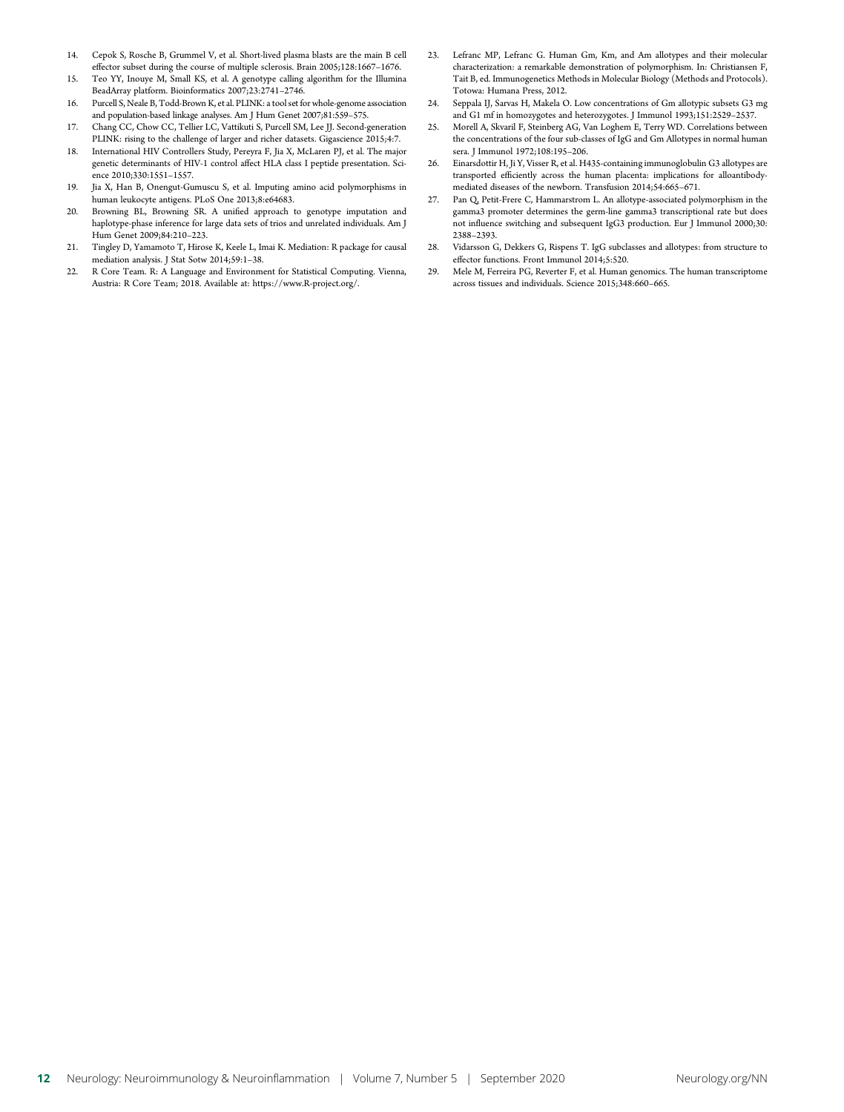- 14. Cepok S, Rosche B, Grummel V, et al. Short-lived plasma blasts are the main B cell effector subset during the course of multiple sclerosis. Brain 2005;128:1667–1676.
- 15. Teo YY, Inouye M, Small KS, et al. A genotype calling algorithm for the Illumina BeadArray platform. Bioinformatics 2007;23:2741–2746.
- 16. Purcell S, Neale B, Todd-Brown K, et al. PLINK: a tool set for whole-genome association and population-based linkage analyses. Am J Hum Genet 2007;81:559–575.
- 17. Chang CC, Chow CC, Tellier LC, Vattikuti S, Purcell SM, Lee JJ. Second-generation PLINK: rising to the challenge of larger and richer datasets. Gigascience 2015;4:7.
- 18. International HIV Controllers Study, Pereyra F, Jia X, McLaren PJ, et al. The major genetic determinants of HIV-1 control affect HLA class I peptide presentation. Science 2010;330:1551–1557.
- 19. Jia X, Han B, Onengut-Gumuscu S, et al. Imputing amino acid polymorphisms in human leukocyte antigens. PLoS One 2013;8:e64683.
- 20. Browning BL, Browning SR. A unified approach to genotype imputation and haplotype-phase inference for large data sets of trios and unrelated individuals. Am J Hum Genet 2009;84:210–223.
- 21. Tingley D, Yamamoto T, Hirose K, Keele L, Imai K. Mediation: R package for causal mediation analysis. J Stat Sotw 2014;59:1–38.
- 22. R Core Team. R: A Language and Environment for Statistical Computing. Vienna, Austria: R Core Team; 2018. Available at: [https://www.R-project.org/.](https://www.R-project.org/)
- 23. Lefranc MP, Lefranc G. Human Gm, Km, and Am allotypes and their molecular characterization: a remarkable demonstration of polymorphism. In: Christiansen F, Tait B, ed. Immunogenetics Methods in Molecular Biology (Methods and Protocols). Totowa: Humana Press, 2012.
- 24. Seppala IJ, Sarvas H, Makela O. Low concentrations of Gm allotypic subsets G3 mg and G1 mf in homozygotes and heterozygotes. J Immunol 1993;151:2529–2537.
- 25. Morell A, Skvaril F, Steinberg AG, Van Loghem E, Terry WD. Correlations between the concentrations of the four sub-classes of IgG and Gm Allotypes in normal human sera. J Immunol 1972;108:195–206.
- 26. Einarsdottir H, Ji Y, Visser R, et al. H435-containing immunoglobulin G3 allotypes are transported efficiently across the human placenta: implications for alloantibodymediated diseases of the newborn. Transfusion 2014;54:665–671.
- 27. Pan Q, Petit-Frere C, Hammarstrom L. An allotype-associated polymorphism in the gamma3 promoter determines the germ-line gamma3 transcriptional rate but does not influence switching and subsequent IgG3 production. Eur J Immunol 2000;30: 2388–2393.
- 28. Vidarsson G, Dekkers G, Rispens T. IgG subclasses and allotypes: from structure to effector functions. Front Immunol 2014;5:520.
- 29. Mele M, Ferreira PG, Reverter F, et al. Human genomics. The human transcriptome across tissues and individuals. Science 2015;348:660–665.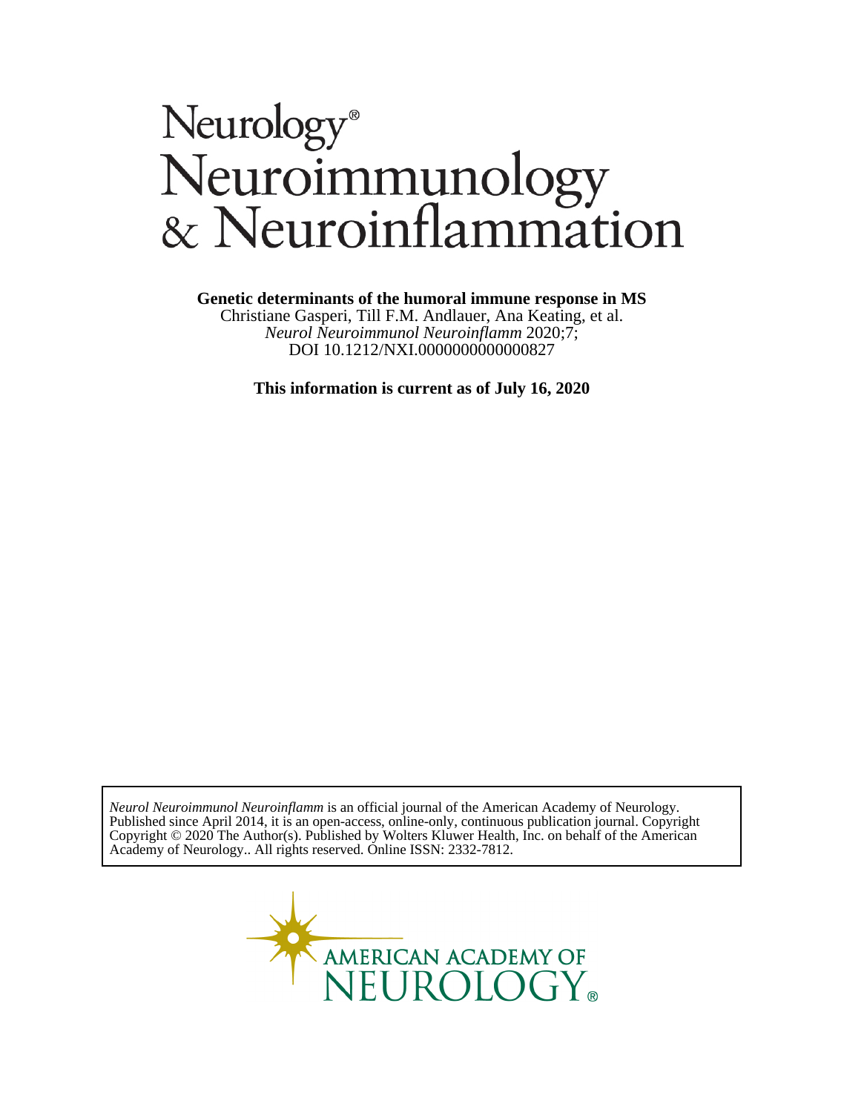# Neurology®<br>Neuroimmunology<br>& Neuroinflammation

### **Genetic determinants of the humoral immune response in MS**

DOI 10.1212/NXI.0000000000000827 *Neurol Neuroimmunol Neuroinflamm* 2020;7; Christiane Gasperi, Till F.M. Andlauer, Ana Keating, et al.

**This information is current as of July 16, 2020**

Academy of Neurology.. All rights reserved. Online ISSN: 2332-7812. Copyright © 2020 The Author(s). Published by Wolters Kluwer Health, Inc. on behalf of the American Published since April 2014, it is an open-access, online-only, continuous publication journal. Copyright *Neurol Neuroimmunol Neuroinflamm* is an official journal of the American Academy of Neurology.